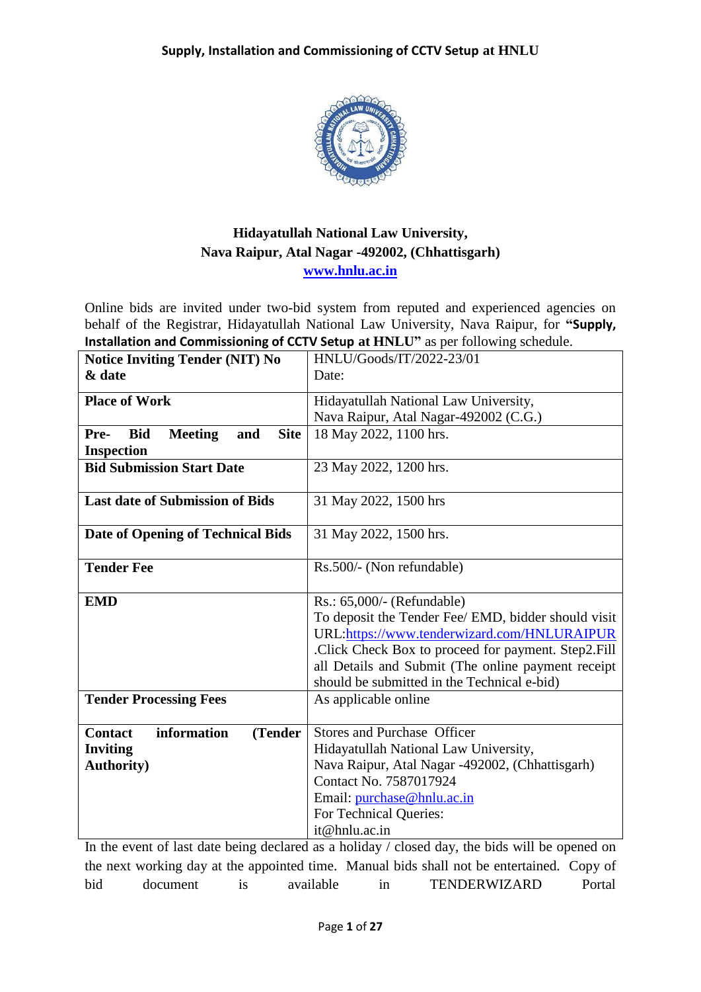

## **Hidayatullah National Law University, Nava Raipur, Atal Nagar -492002, (Chhattisgarh) [www.hnlu.ac.in](http://www.hnlu.ac.in/)**

Online bids are invited under two-bid system from reputed and experienced agencies on behalf of the Registrar, Hidayatullah National Law University, Nava Raipur, for **"Supply, Installation and Commissioning of CCTV Setup at HNLU"** as per following schedule.

| <b>Notice Inviting Tender (NIT) No</b>                     | HNLU/Goods/IT/2022-23/01                            |  |  |
|------------------------------------------------------------|-----------------------------------------------------|--|--|
| & date                                                     | Date:                                               |  |  |
| <b>Place of Work</b>                                       | Hidayatullah National Law University,               |  |  |
|                                                            |                                                     |  |  |
|                                                            | Nava Raipur, Atal Nagar-492002 (C.G.)               |  |  |
| <b>Site</b><br><b>Bid</b><br><b>Meeting</b><br>Pre-<br>and | 18 May 2022, 1100 hrs.                              |  |  |
| <b>Inspection</b>                                          |                                                     |  |  |
| <b>Bid Submission Start Date</b>                           | 23 May 2022, 1200 hrs.                              |  |  |
| <b>Last date of Submission of Bids</b>                     | 31 May 2022, 1500 hrs                               |  |  |
|                                                            |                                                     |  |  |
| <b>Date of Opening of Technical Bids</b>                   | 31 May 2022, 1500 hrs.                              |  |  |
|                                                            |                                                     |  |  |
| <b>Tender Fee</b>                                          | Rs.500/- (Non refundable)                           |  |  |
|                                                            |                                                     |  |  |
| <b>EMD</b>                                                 | $Rs.: 65,000/-$ (Refundable)                        |  |  |
|                                                            | To deposit the Tender Fee/ EMD, bidder should visit |  |  |
|                                                            | URL:https://www.tenderwizard.com/HNLURAIPUR         |  |  |
|                                                            | Click Check Box to proceed for payment. Step2.Fill  |  |  |
|                                                            | all Details and Submit (The online payment receipt  |  |  |
|                                                            | should be submitted in the Technical e-bid)         |  |  |
| <b>Tender Processing Fees</b>                              | As applicable online                                |  |  |
|                                                            |                                                     |  |  |
| information<br><b>Contact</b><br>(Tender                   | Stores and Purchase Officer                         |  |  |
| <b>Inviting</b>                                            | Hidayatullah National Law University,               |  |  |
| <b>Authority</b> )                                         | Nava Raipur, Atal Nagar -492002, (Chhattisgarh)     |  |  |
|                                                            | Contact No. 7587017924                              |  |  |
|                                                            | Email: purchase@hnlu.ac.in                          |  |  |
|                                                            | For Technical Queries:                              |  |  |
|                                                            | it@hnlu.ac.in                                       |  |  |
|                                                            |                                                     |  |  |

In the event of last date being declared as a holiday / closed day, the bids will be opened on the next working day at the appointed time. Manual bids shall not be entertained. Copy of bid document is available in TENDERWIZARD Portal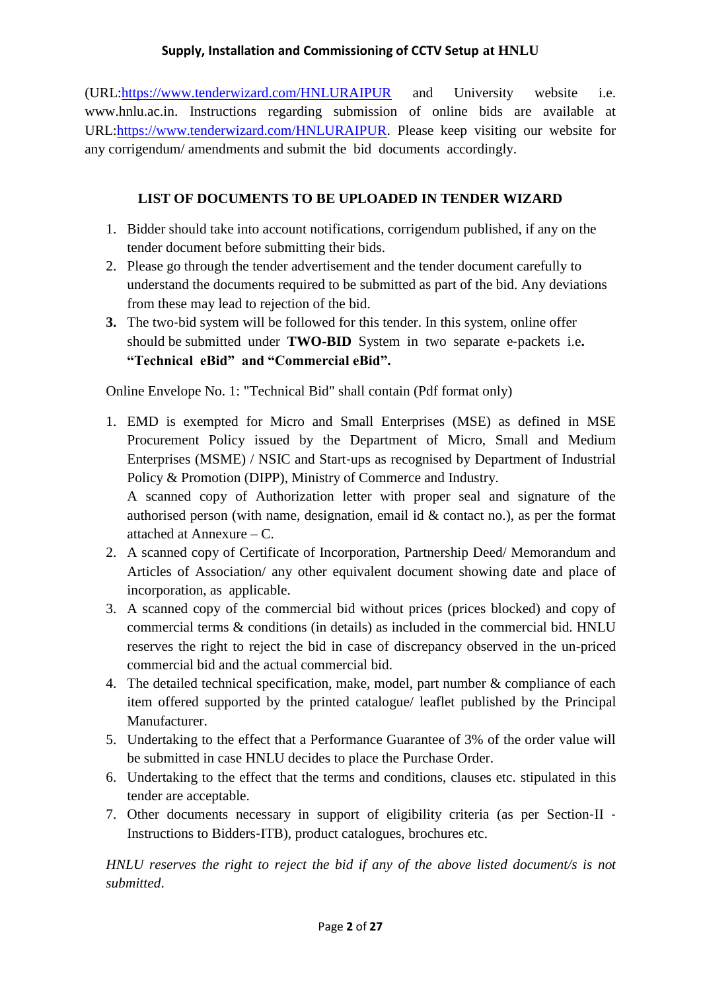(URL[:https://www.tenderwizard.com/HNLURAIPUR](https://www.tenderwizard.com/HNLURAIPUR) and University website i.e. www.hnlu.ac.in. Instructions regarding submission of online bids are available at URL[:https://www.tenderwizard.com/HNLURAIPUR.](https://www.tenderwizard.com/HNLURAIPUR) Please keep visiting our website for any corrigendum/ amendments and submit the bid documents accordingly.

## **LIST OF DOCUMENTS TO BE UPLOADED IN TENDER WIZARD**

- 1. Bidder should take into account notifications, corrigendum published, if any on the tender document before submitting their bids.
- 2. Please go through the tender advertisement and the tender document carefully to understand the documents required to be submitted as part of the bid. Any deviations from these may lead to rejection of the bid.
- **3.** The two-bid system will be followed for this tender. In this system, online offer should be submitted under **TWO**‐**BID** System in two separate e‐packets i.e**. "Technical eBid" and "Commercial eBid".**

Online Envelope No. 1: "Technical Bid" shall contain (Pdf format only)

1. EMD is exempted for Micro and Small Enterprises (MSE) as defined in MSE Procurement Policy issued by the Department of Micro, Small and Medium Enterprises (MSME) / NSIC and Start‐ups as recognised by Department of Industrial Policy & Promotion (DIPP), Ministry of Commerce and Industry. A scanned copy of Authorization letter with proper seal and signature of the

authorised person (with name, designation, email id & contact no.), as per the format attached at Annexure – C.

- 2. A scanned copy of Certificate of Incorporation, Partnership Deed/ Memorandum and Articles of Association/ any other equivalent document showing date and place of incorporation, as applicable.
- 3. A scanned copy of the commercial bid without prices (prices blocked) and copy of commercial terms & conditions (in details) as included in the commercial bid. HNLU reserves the right to reject the bid in case of discrepancy observed in the un-priced commercial bid and the actual commercial bid.
- 4. The detailed technical specification, make, model, part number & compliance of each item offered supported by the printed catalogue/ leaflet published by the Principal Manufacturer.
- 5. Undertaking to the effect that a Performance Guarantee of 3% of the order value will be submitted in case HNLU decides to place the Purchase Order.
- 6. Undertaking to the effect that the terms and conditions, clauses etc. stipulated in this tender are acceptable.
- 7. Other documents necessary in support of eligibility criteria (as per Section‐II ‐ Instructions to Bidders‐ITB), product catalogues, brochures etc.

*HNLU reserves the right to reject the bid if any of the above listed document/s is not submitted*.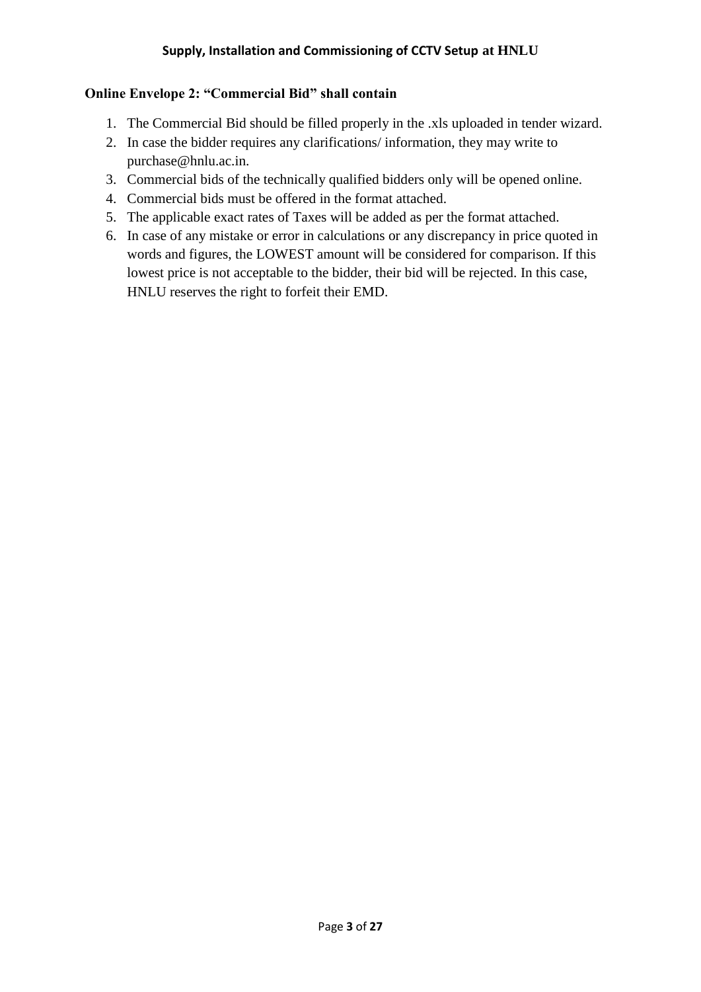### **Online Envelope 2: "Commercial Bid" shall contain**

- 1. The Commercial Bid should be filled properly in the .xls uploaded in tender wizard.
- 2. In case the bidder requires any clarifications/ information, they may write to purchase@hnlu.ac.in.
- 3. Commercial bids of the technically qualified bidders only will be opened online.
- 4. Commercial bids must be offered in the format attached.
- 5. The applicable exact rates of Taxes will be added as per the format attached.
- 6. In case of any mistake or error in calculations or any discrepancy in price quoted in words and figures, the LOWEST amount will be considered for comparison. If this lowest price is not acceptable to the bidder, their bid will be rejected. In this case, HNLU reserves the right to forfeit their EMD.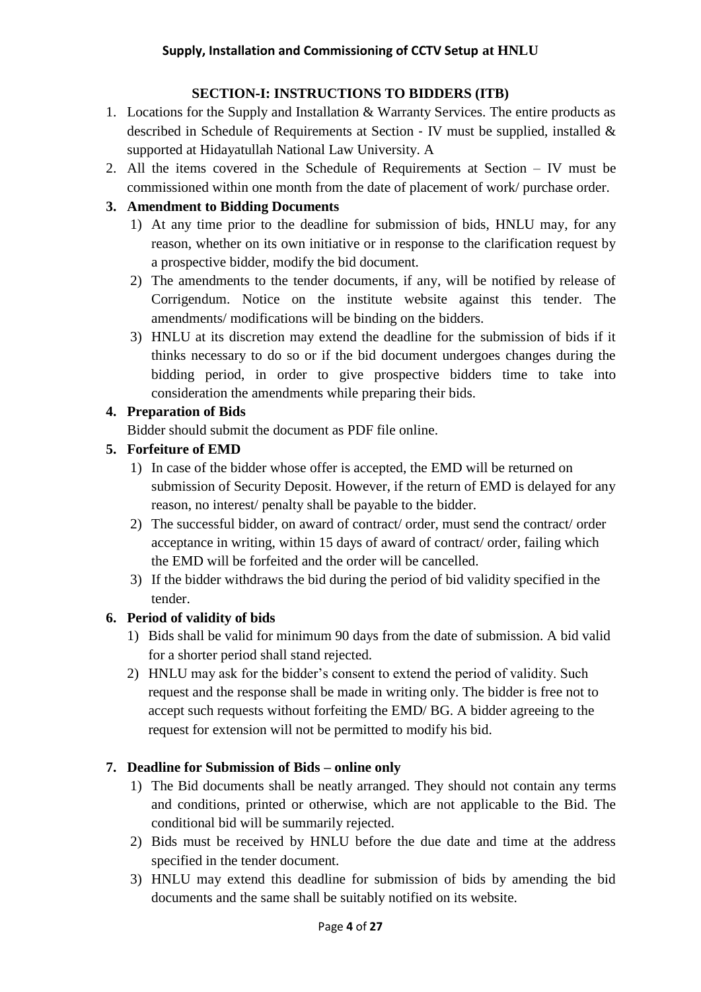## **SECTION**‐**I: INSTRUCTIONS TO BIDDERS (ITB)**

- 1. Locations for the Supply and Installation & Warranty Services. The entire products as described in Schedule of Requirements at Section ‐ IV must be supplied, installed & supported at Hidayatullah National Law University. A
- 2. All the items covered in the Schedule of Requirements at Section IV must be commissioned within one month from the date of placement of work/ purchase order.

## **3. Amendment to Bidding Documents**

- 1) At any time prior to the deadline for submission of bids, HNLU may, for any reason, whether on its own initiative or in response to the clarification request by a prospective bidder, modify the bid document.
- 2) The amendments to the tender documents, if any, will be notified by release of Corrigendum. Notice on the institute website against this tender. The amendments/ modifications will be binding on the bidders.
- 3) HNLU at its discretion may extend the deadline for the submission of bids if it thinks necessary to do so or if the bid document undergoes changes during the bidding period, in order to give prospective bidders time to take into consideration the amendments while preparing their bids.

## **4. Preparation of Bids**

Bidder should submit the document as PDF file online.

## **5. Forfeiture of EMD**

- 1) In case of the bidder whose offer is accepted, the EMD will be returned on submission of Security Deposit. However, if the return of EMD is delayed for any reason, no interest/ penalty shall be payable to the bidder.
- 2) The successful bidder, on award of contract/ order, must send the contract/ order acceptance in writing, within 15 days of award of contract/ order, failing which the EMD will be forfeited and the order will be cancelled.
- 3) If the bidder withdraws the bid during the period of bid validity specified in the tender.

## **6. Period of validity of bids**

- 1) Bids shall be valid for minimum 90 days from the date of submission. A bid valid for a shorter period shall stand rejected.
- 2) HNLU may ask for the bidder's consent to extend the period of validity. Such request and the response shall be made in writing only. The bidder is free not to accept such requests without forfeiting the EMD/ BG. A bidder agreeing to the request for extension will not be permitted to modify his bid.

## **7. Deadline for Submission of Bids – online only**

- 1) The Bid documents shall be neatly arranged. They should not contain any terms and conditions, printed or otherwise, which are not applicable to the Bid. The conditional bid will be summarily rejected.
- 2) Bids must be received by HNLU before the due date and time at the address specified in the tender document.
- 3) HNLU may extend this deadline for submission of bids by amending the bid documents and the same shall be suitably notified on its website.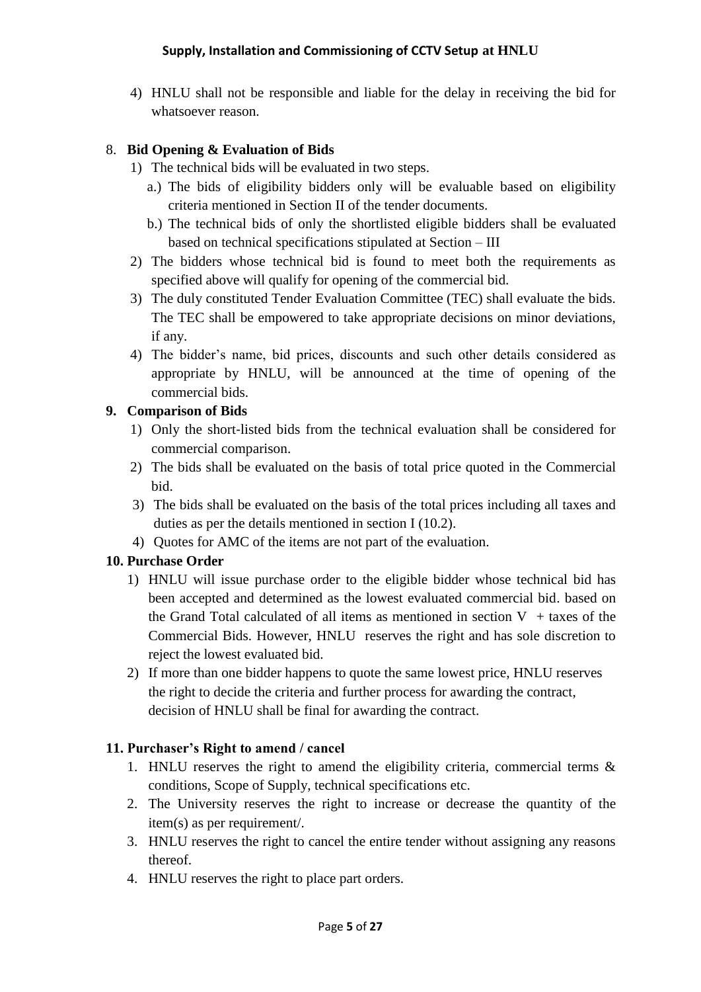4) HNLU shall not be responsible and liable for the delay in receiving the bid for whatsoever reason.

## 8. **Bid Opening & Evaluation of Bids**

- 1) The technical bids will be evaluated in two steps.
	- a.) The bids of eligibility bidders only will be evaluable based on eligibility criteria mentioned in Section II of the tender documents.
	- b.) The technical bids of only the shortlisted eligible bidders shall be evaluated based on technical specifications stipulated at Section – III
- 2) The bidders whose technical bid is found to meet both the requirements as specified above will qualify for opening of the commercial bid.
- 3) The duly constituted Tender Evaluation Committee (TEC) shall evaluate the bids. The TEC shall be empowered to take appropriate decisions on minor deviations, if any.
- 4) The bidder's name, bid prices, discounts and such other details considered as appropriate by HNLU, will be announced at the time of opening of the commercial bids.

## **9. Comparison of Bids**

- 1) Only the short‐listed bids from the technical evaluation shall be considered for commercial comparison.
- 2) The bids shall be evaluated on the basis of total price quoted in the Commercial bid.
- 3) The bids shall be evaluated on the basis of the total prices including all taxes and duties as per the details mentioned in section I (10.2).
- 4) Quotes for AMC of the items are not part of the evaluation.

## **10. Purchase Order**

- 1) HNLU will issue purchase order to the eligible bidder whose technical bid has been accepted and determined as the lowest evaluated commercial bid. based on the Grand Total calculated of all items as mentioned in section  $V + t$  taxes of the Commercial Bids. However, HNLU reserves the right and has sole discretion to reject the lowest evaluated bid.
- 2) If more than one bidder happens to quote the same lowest price, HNLU reserves the right to decide the criteria and further process for awarding the contract, decision of HNLU shall be final for awarding the contract.

## **11. Purchaser's Right to amend / cancel**

- 1. HNLU reserves the right to amend the eligibility criteria, commercial terms & conditions, Scope of Supply, technical specifications etc.
- 2. The University reserves the right to increase or decrease the quantity of the item(s) as per requirement/.
- 3. HNLU reserves the right to cancel the entire tender without assigning any reasons thereof.
- 4. HNLU reserves the right to place part orders.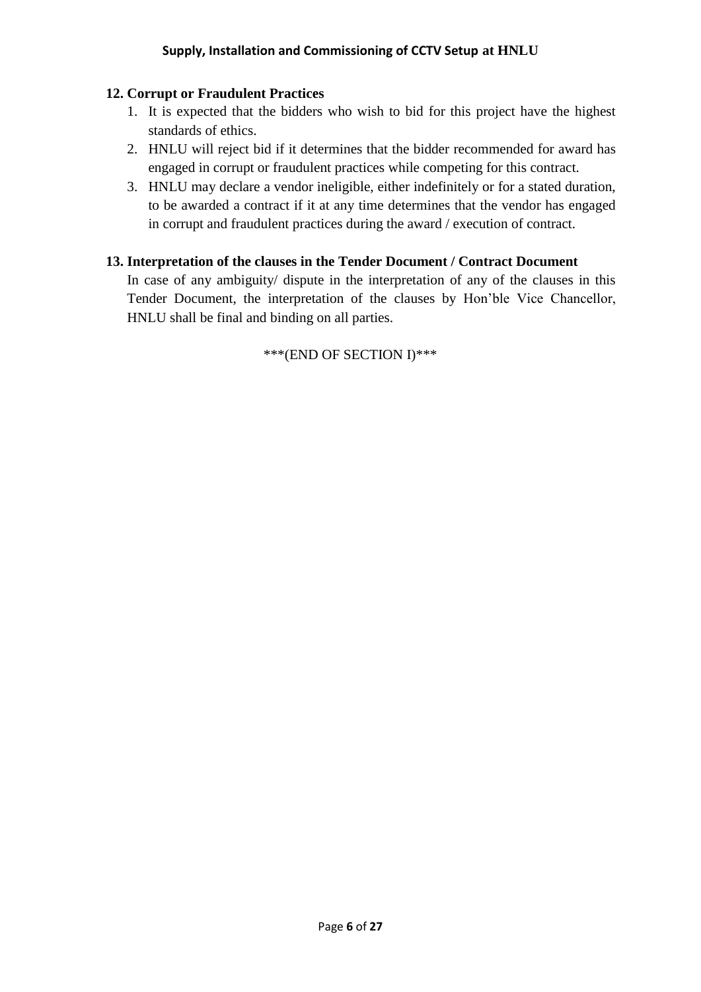#### **12. Corrupt or Fraudulent Practices**

- 1. It is expected that the bidders who wish to bid for this project have the highest standards of ethics.
- 2. HNLU will reject bid if it determines that the bidder recommended for award has engaged in corrupt or fraudulent practices while competing for this contract.
- 3. HNLU may declare a vendor ineligible, either indefinitely or for a stated duration, to be awarded a contract if it at any time determines that the vendor has engaged in corrupt and fraudulent practices during the award / execution of contract.

#### **13. Interpretation of the clauses in the Tender Document / Contract Document**

In case of any ambiguity/ dispute in the interpretation of any of the clauses in this Tender Document, the interpretation of the clauses by Hon'ble Vice Chancellor, HNLU shall be final and binding on all parties.

\*\*\*(END OF SECTION I)\*\*\*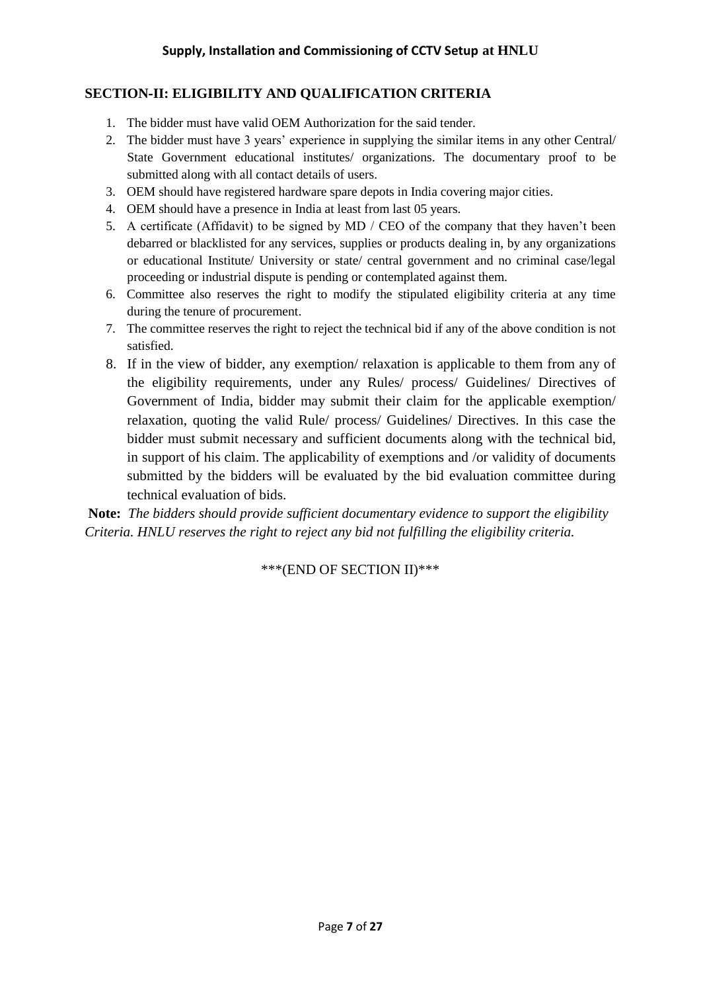## **SECTION**‐**II: ELIGIBILITY AND QUALIFICATION CRITERIA**

- 1. The bidder must have valid OEM Authorization for the said tender.
- 2. The bidder must have 3 years' experience in supplying the similar items in any other Central/ State Government educational institutes/ organizations. The documentary proof to be submitted along with all contact details of users.
- 3. OEM should have registered hardware spare depots in India covering major cities.
- 4. OEM should have a presence in India at least from last 05 years.
- 5. A certificate (Affidavit) to be signed by MD / CEO of the company that they haven't been debarred or blacklisted for any services, supplies or products dealing in, by any organizations or educational Institute/ University or state/ central government and no criminal case/legal proceeding or industrial dispute is pending or contemplated against them.
- 6. Committee also reserves the right to modify the stipulated eligibility criteria at any time during the tenure of procurement.
- 7. The committee reserves the right to reject the technical bid if any of the above condition is not satisfied.
- 8. If in the view of bidder, any exemption/ relaxation is applicable to them from any of the eligibility requirements, under any Rules/ process/ Guidelines/ Directives of Government of India, bidder may submit their claim for the applicable exemption/ relaxation, quoting the valid Rule/ process/ Guidelines/ Directives. In this case the bidder must submit necessary and sufficient documents along with the technical bid, in support of his claim. The applicability of exemptions and /or validity of documents submitted by the bidders will be evaluated by the bid evaluation committee during technical evaluation of bids.

**Note:** *The bidders should provide sufficient documentary evidence to support the eligibility Criteria. HNLU reserves the right to reject any bid not fulfilling the eligibility criteria.* 

\*\*\*(END OF SECTION II)\*\*\*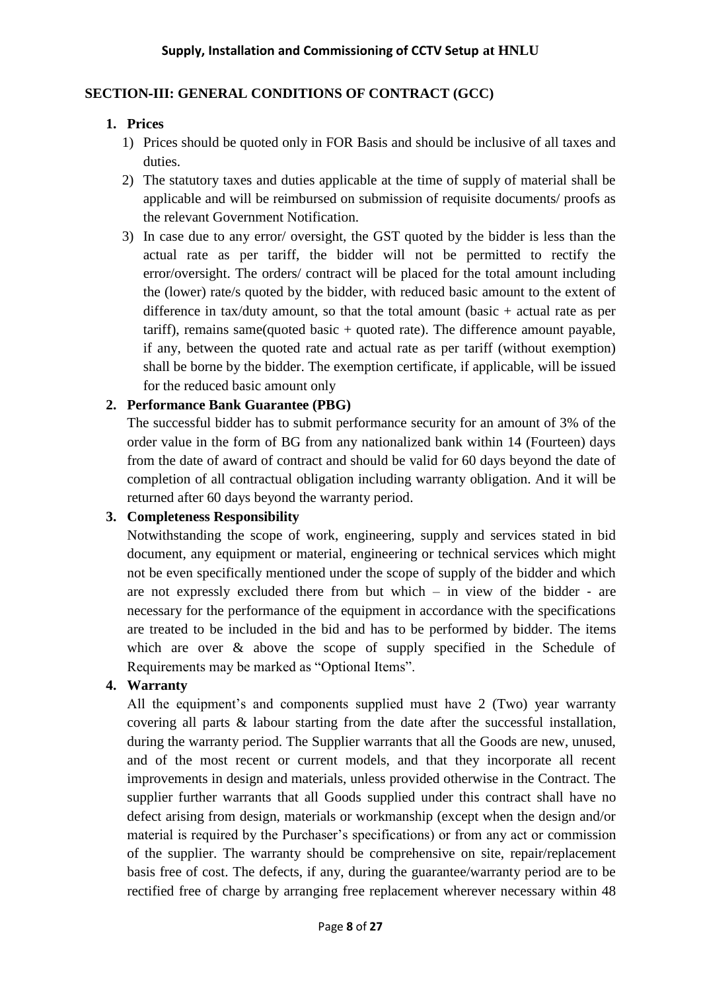## **SECTION**‐**III: GENERAL CONDITIONS OF CONTRACT (GCC)**

## **1. Prices**

- 1) Prices should be quoted only in FOR Basis and should be inclusive of all taxes and duties.
- 2) The statutory taxes and duties applicable at the time of supply of material shall be applicable and will be reimbursed on submission of requisite documents/ proofs as the relevant Government Notification.
- 3) In case due to any error/ oversight, the GST quoted by the bidder is less than the actual rate as per tariff, the bidder will not be permitted to rectify the error/oversight. The orders/ contract will be placed for the total amount including the (lower) rate/s quoted by the bidder, with reduced basic amount to the extent of difference in tax/duty amount, so that the total amount (basic + actual rate as per tariff), remains same(quoted basic  $+$  quoted rate). The difference amount payable, if any, between the quoted rate and actual rate as per tariff (without exemption) shall be borne by the bidder. The exemption certificate, if applicable, will be issued for the reduced basic amount only

## **2. Performance Bank Guarantee (PBG)**

The successful bidder has to submit performance security for an amount of 3% of the order value in the form of BG from any nationalized bank within 14 (Fourteen) days from the date of award of contract and should be valid for 60 days beyond the date of completion of all contractual obligation including warranty obligation. And it will be returned after 60 days beyond the warranty period.

#### **3. Completeness Responsibility**

Notwithstanding the scope of work, engineering, supply and services stated in bid document, any equipment or material, engineering or technical services which might not be even specifically mentioned under the scope of supply of the bidder and which are not expressly excluded there from but which – in view of the bidder ‐ are necessary for the performance of the equipment in accordance with the specifications are treated to be included in the bid and has to be performed by bidder. The items which are over  $\&$  above the scope of supply specified in the Schedule of Requirements may be marked as "Optional Items".

## **4. Warranty**

All the equipment's and components supplied must have 2 (Two) year warranty covering all parts & labour starting from the date after the successful installation, during the warranty period. The Supplier warrants that all the Goods are new, unused, and of the most recent or current models, and that they incorporate all recent improvements in design and materials, unless provided otherwise in the Contract. The supplier further warrants that all Goods supplied under this contract shall have no defect arising from design, materials or workmanship (except when the design and/or material is required by the Purchaser's specifications) or from any act or commission of the supplier. The warranty should be comprehensive on site, repair/replacement basis free of cost. The defects, if any, during the guarantee/warranty period are to be rectified free of charge by arranging free replacement wherever necessary within 48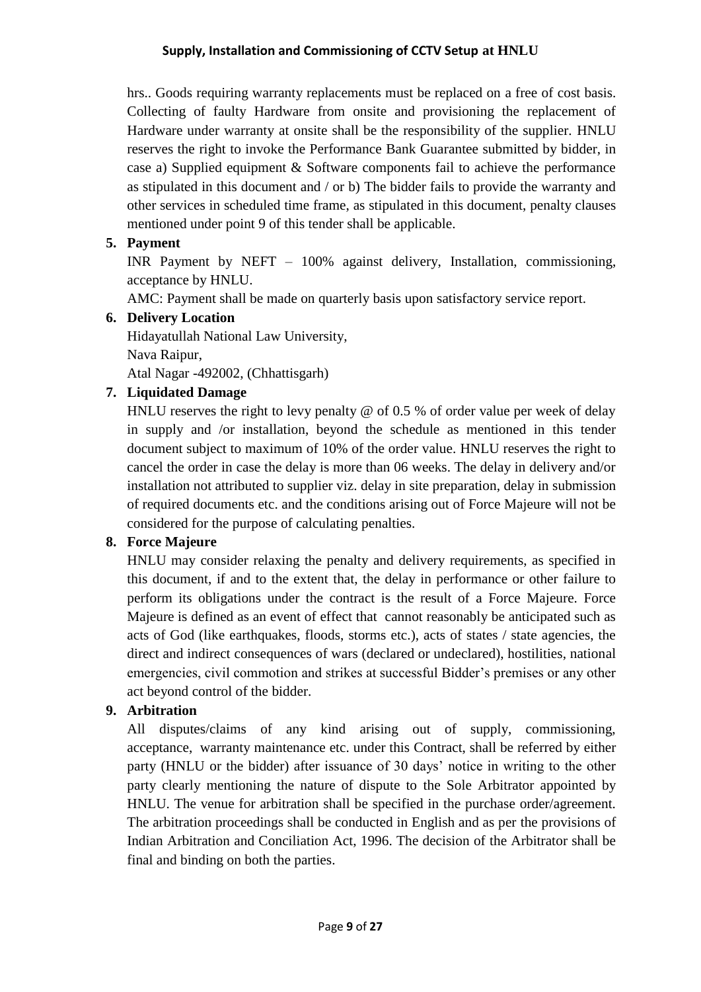hrs.. Goods requiring warranty replacements must be replaced on a free of cost basis. Collecting of faulty Hardware from onsite and provisioning the replacement of Hardware under warranty at onsite shall be the responsibility of the supplier. HNLU reserves the right to invoke the Performance Bank Guarantee submitted by bidder, in case a) Supplied equipment & Software components fail to achieve the performance as stipulated in this document and / or b) The bidder fails to provide the warranty and other services in scheduled time frame, as stipulated in this document, penalty clauses mentioned under point 9 of this tender shall be applicable.

### **5. Payment**

INR Payment by NEFT – 100% against delivery, Installation, commissioning, acceptance by HNLU.

AMC: Payment shall be made on quarterly basis upon satisfactory service report.

#### **6. Delivery Location**

Hidayatullah National Law University, Nava Raipur,

Atal Nagar -492002, (Chhattisgarh)

#### **7. Liquidated Damage**

HNLU reserves the right to levy penalty  $\omega$  of 0.5 % of order value per week of delay in supply and /or installation, beyond the schedule as mentioned in this tender document subject to maximum of 10% of the order value. HNLU reserves the right to cancel the order in case the delay is more than 06 weeks. The delay in delivery and/or installation not attributed to supplier viz. delay in site preparation, delay in submission of required documents etc. and the conditions arising out of Force Majeure will not be considered for the purpose of calculating penalties.

#### **8. Force Majeure**

HNLU may consider relaxing the penalty and delivery requirements, as specified in this document, if and to the extent that, the delay in performance or other failure to perform its obligations under the contract is the result of a Force Majeure. Force Majeure is defined as an event of effect that cannot reasonably be anticipated such as acts of God (like earthquakes, floods, storms etc.), acts of states / state agencies, the direct and indirect consequences of wars (declared or undeclared), hostilities, national emergencies, civil commotion and strikes at successful Bidder's premises or any other act beyond control of the bidder.

#### **9. Arbitration**

All disputes/claims of any kind arising out of supply, commissioning, acceptance, warranty maintenance etc. under this Contract, shall be referred by either party (HNLU or the bidder) after issuance of 30 days' notice in writing to the other party clearly mentioning the nature of dispute to the Sole Arbitrator appointed by HNLU. The venue for arbitration shall be specified in the purchase order/agreement. The arbitration proceedings shall be conducted in English and as per the provisions of Indian Arbitration and Conciliation Act, 1996. The decision of the Arbitrator shall be final and binding on both the parties.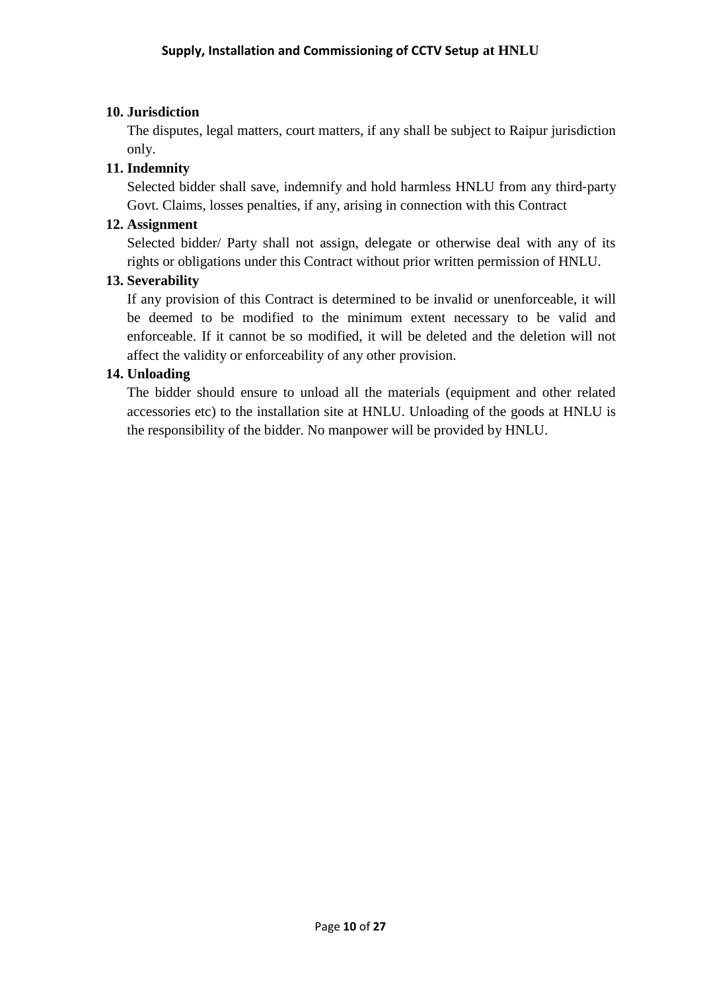### **10. Jurisdiction**

The disputes, legal matters, court matters, if any shall be subject to Raipur jurisdiction only.

## **11. Indemnity**

Selected bidder shall save, indemnify and hold harmless HNLU from any third‐party Govt. Claims, losses penalties, if any, arising in connection with this Contract

### **12. Assignment**

Selected bidder/ Party shall not assign, delegate or otherwise deal with any of its rights or obligations under this Contract without prior written permission of HNLU.

#### **13. Severability**

If any provision of this Contract is determined to be invalid or unenforceable, it will be deemed to be modified to the minimum extent necessary to be valid and enforceable. If it cannot be so modified, it will be deleted and the deletion will not affect the validity or enforceability of any other provision.

## **14. Unloading**

The bidder should ensure to unload all the materials (equipment and other related accessories etc) to the installation site at HNLU. Unloading of the goods at HNLU is the responsibility of the bidder. No manpower will be provided by HNLU.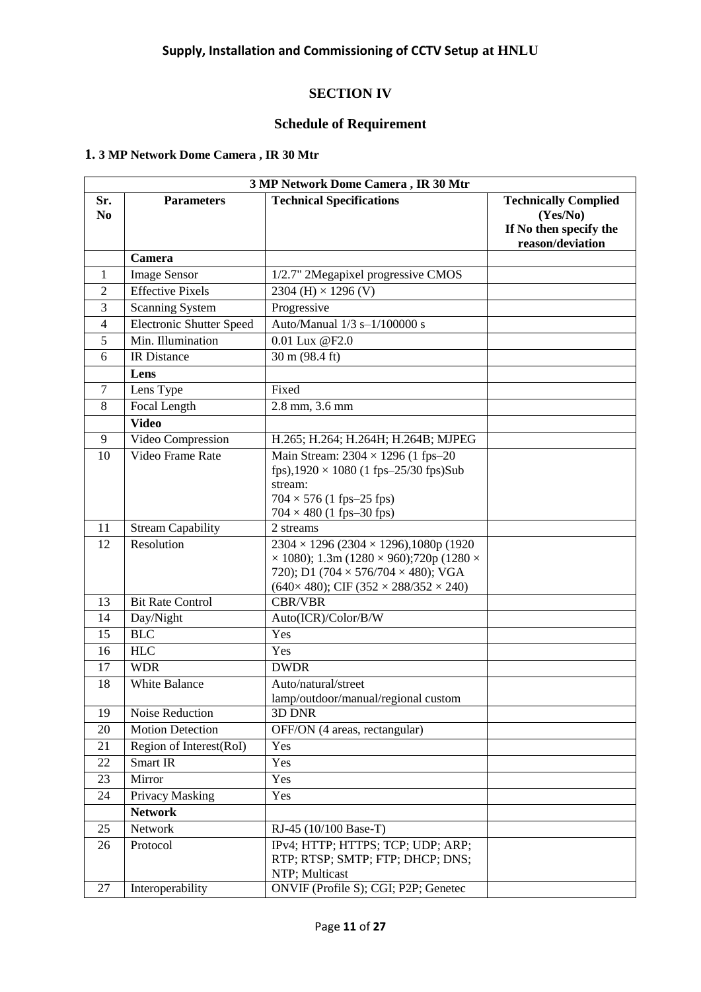## **SECTION IV**

### **Schedule of Requirement**

## **1. 3 MP Network Dome Camera , IR 30 Mtr**

| 3 MP Network Dome Camera, IR 30 Mtr |                                 |                                                                                                                                                                                                                                        |                                                                                       |
|-------------------------------------|---------------------------------|----------------------------------------------------------------------------------------------------------------------------------------------------------------------------------------------------------------------------------------|---------------------------------------------------------------------------------------|
| Sr.<br>N <sub>0</sub>               | <b>Parameters</b>               | <b>Technical Specifications</b>                                                                                                                                                                                                        | <b>Technically Complied</b><br>(Yes/No)<br>If No then specify the<br>reason/deviation |
|                                     | Camera                          |                                                                                                                                                                                                                                        |                                                                                       |
| 1                                   | <b>Image Sensor</b>             | 1/2.7" 2Megapixel progressive CMOS                                                                                                                                                                                                     |                                                                                       |
| $\overline{2}$                      | <b>Effective Pixels</b>         | 2304 (H) $\times$ 1296 (V)                                                                                                                                                                                                             |                                                                                       |
| 3                                   | <b>Scanning System</b>          | Progressive                                                                                                                                                                                                                            |                                                                                       |
| $\overline{4}$                      | <b>Electronic Shutter Speed</b> | Auto/Manual 1/3 s-1/100000 s                                                                                                                                                                                                           |                                                                                       |
| 5                                   | Min. Illumination               | 0.01 Lux @F2.0                                                                                                                                                                                                                         |                                                                                       |
| 6                                   | IR Distance                     | 30 m (98.4 ft)                                                                                                                                                                                                                         |                                                                                       |
|                                     | Lens                            |                                                                                                                                                                                                                                        |                                                                                       |
| $\overline{7}$                      | Lens Type                       | Fixed                                                                                                                                                                                                                                  |                                                                                       |
| 8                                   | Focal Length                    | 2.8 mm, 3.6 mm                                                                                                                                                                                                                         |                                                                                       |
|                                     | <b>Video</b>                    |                                                                                                                                                                                                                                        |                                                                                       |
| 9                                   | Video Compression               | H.265; H.264; H.264H; H.264B; MJPEG                                                                                                                                                                                                    |                                                                                       |
| 10                                  | Video Frame Rate                | Main Stream: $2304 \times 1296$ (1 fps-20<br>fps),1920 $\times$ 1080 (1 fps-25/30 fps)Sub<br>stream:<br>$704 \times 576$ (1 fps-25 fps)<br>$704 \times 480$ (1 fps-30 fps)                                                             |                                                                                       |
| 11                                  | <b>Stream Capability</b>        | 2 streams                                                                                                                                                                                                                              |                                                                                       |
| 12                                  | Resolution                      | $2304 \times 1296 (2304 \times 1296), 1080p (1920)$<br>$\times$ 1080); 1.3m (1280 $\times$ 960);720p (1280 $\times$<br>720); D1 (704 $\times$ 576/704 $\times$ 480); VGA<br>$(640 \times 480)$ ; CIF $(352 \times 288/352 \times 240)$ |                                                                                       |
| 13                                  | <b>Bit Rate Control</b>         | <b>CBR/VBR</b>                                                                                                                                                                                                                         |                                                                                       |
| 14                                  | Day/Night                       | Auto(ICR)/Color/B/W                                                                                                                                                                                                                    |                                                                                       |
| 15                                  | <b>BLC</b>                      | Yes                                                                                                                                                                                                                                    |                                                                                       |
| 16                                  | <b>HLC</b>                      | Yes                                                                                                                                                                                                                                    |                                                                                       |
| 17                                  | <b>WDR</b>                      | <b>DWDR</b>                                                                                                                                                                                                                            |                                                                                       |
| 18                                  | White Balance                   | Auto/natural/street<br>lamp/outdoor/manual/regional custom                                                                                                                                                                             |                                                                                       |
| 19                                  | Noise Reduction                 | 3D DNR                                                                                                                                                                                                                                 |                                                                                       |
| 20                                  | <b>Motion Detection</b>         | OFF/ON (4 areas, rectangular)                                                                                                                                                                                                          |                                                                                       |
| 21                                  | Region of Interest(RoI)         | Yes                                                                                                                                                                                                                                    |                                                                                       |
| 22                                  | Smart IR                        | Yes                                                                                                                                                                                                                                    |                                                                                       |
| 23                                  | Mirror                          | Yes                                                                                                                                                                                                                                    |                                                                                       |
| 24                                  | Privacy Masking                 | Yes                                                                                                                                                                                                                                    |                                                                                       |
|                                     | <b>Network</b>                  |                                                                                                                                                                                                                                        |                                                                                       |
| 25                                  | Network                         | RJ-45 (10/100 Base-T)                                                                                                                                                                                                                  |                                                                                       |
| 26                                  | Protocol                        | IPv4; HTTP; HTTPS; TCP; UDP; ARP;<br>RTP; RTSP; SMTP; FTP; DHCP; DNS;<br>NTP; Multicast                                                                                                                                                |                                                                                       |
| 27                                  | Interoperability                | ONVIF (Profile S); CGI; P2P; Genetec                                                                                                                                                                                                   |                                                                                       |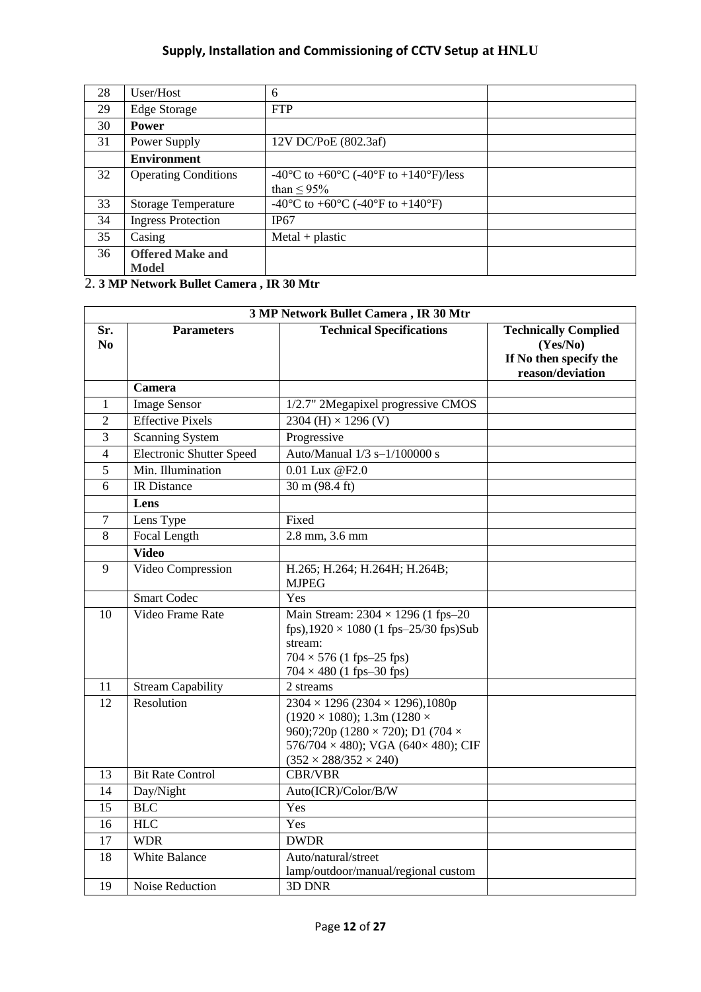| 28 | User/Host                   | 6                                                                                         |  |
|----|-----------------------------|-------------------------------------------------------------------------------------------|--|
| 29 | Edge Storage                | <b>FTP</b>                                                                                |  |
| 30 | <b>Power</b>                |                                                                                           |  |
| 31 | Power Supply                | 12V DC/PoE (802.3af)                                                                      |  |
|    | <b>Environment</b>          |                                                                                           |  |
| 32 | <b>Operating Conditions</b> | -40 <sup>o</sup> C to +60 <sup>o</sup> C (-40 <sup>o</sup> F to +140 <sup>o</sup> F)/less |  |
|    |                             | than $\leq$ 95%                                                                           |  |
| 33 | <b>Storage Temperature</b>  | -40 <sup>o</sup> C to +60 <sup>o</sup> C (-40 <sup>o</sup> F to +140 <sup>o</sup> F)      |  |
| 34 | <b>Ingress Protection</b>   | IP67                                                                                      |  |
| 35 | Casing                      | $MetaI + plastic$                                                                         |  |
| 36 | <b>Offered Make and</b>     |                                                                                           |  |
|    | Model                       |                                                                                           |  |

2. **3 MP Network Bullet Camera , IR 30 Mtr**

| 3 MP Network Bullet Camera, IR 30 Mtr |                                  |                                                                                                                                                                                                                                       |                                                                                       |
|---------------------------------------|----------------------------------|---------------------------------------------------------------------------------------------------------------------------------------------------------------------------------------------------------------------------------------|---------------------------------------------------------------------------------------|
| Sr.<br>N <sub>0</sub>                 | <b>Parameters</b>                | <b>Technical Specifications</b>                                                                                                                                                                                                       | <b>Technically Complied</b><br>(Yes/No)<br>If No then specify the<br>reason/deviation |
|                                       | Camera                           |                                                                                                                                                                                                                                       |                                                                                       |
| $\mathbf{1}$                          | <b>Image Sensor</b>              | 1/2.7" 2Megapixel progressive CMOS                                                                                                                                                                                                    |                                                                                       |
| $\overline{2}$                        | <b>Effective Pixels</b>          | 2304 (H) $\times$ 1296 (V)                                                                                                                                                                                                            |                                                                                       |
| 3                                     | <b>Scanning System</b>           | Progressive                                                                                                                                                                                                                           |                                                                                       |
| $\overline{4}$                        | <b>Electronic Shutter Speed</b>  | Auto/Manual 1/3 s-1/100000 s                                                                                                                                                                                                          |                                                                                       |
| 5                                     | Min. Illumination                | $0.01$ Lux $@$ F <sub>2.0</sub>                                                                                                                                                                                                       |                                                                                       |
| 6                                     | <b>IR</b> Distance               | 30 m (98.4 ft)                                                                                                                                                                                                                        |                                                                                       |
|                                       | Lens                             |                                                                                                                                                                                                                                       |                                                                                       |
| 7                                     | Lens Type                        | Fixed                                                                                                                                                                                                                                 |                                                                                       |
| 8                                     | <b>Focal Length</b>              | $2.8$ mm, $3.6$ mm                                                                                                                                                                                                                    |                                                                                       |
|                                       | <b>Video</b>                     |                                                                                                                                                                                                                                       |                                                                                       |
| 9                                     | Video Compression                | H.265; H.264; H.264H; H.264B;<br><b>MJPEG</b>                                                                                                                                                                                         |                                                                                       |
|                                       | <b>Smart Codec</b>               | Yes                                                                                                                                                                                                                                   |                                                                                       |
| 10                                    | Video Frame Rate                 | Main Stream: $2304 \times 1296$ (1 fps-20<br>fps),1920 $\times$ 1080 (1 fps-25/30 fps)Sub<br>stream:<br>$704 \times 576$ (1 fps-25 fps)<br>$704 \times 480$ (1 fps-30 fps)                                                            |                                                                                       |
| 11                                    | <b>Stream Capability</b>         | 2 streams                                                                                                                                                                                                                             |                                                                                       |
| $\overline{12}$                       | Resolution                       | $2304 \times 1296 (2304 \times 1296), 1080p$<br>$(1920 \times 1080); 1.3m (1280 \times$<br>960);720p (1280 $\times$ 720); D1 (704 $\times$<br>576/704 $\times$ 480); VGA (640 $\times$ 480); CIF<br>$(352 \times 288/352 \times 240)$ |                                                                                       |
| 13                                    | <b>Bit Rate Control</b>          | <b>CBR/VBR</b>                                                                                                                                                                                                                        |                                                                                       |
| 14                                    | Day/Night                        | Auto(ICR)/Color/B/W                                                                                                                                                                                                                   |                                                                                       |
| 15                                    | <b>BLC</b>                       | Yes                                                                                                                                                                                                                                   |                                                                                       |
| 16                                    | <b>HLC</b>                       | Yes                                                                                                                                                                                                                                   |                                                                                       |
| 17                                    | <b>WDR</b>                       | <b>DWDR</b>                                                                                                                                                                                                                           |                                                                                       |
| 18<br>19                              | White Balance<br>Noise Reduction | Auto/natural/street<br>lamp/outdoor/manual/regional custom<br>3D DNR                                                                                                                                                                  |                                                                                       |
|                                       |                                  |                                                                                                                                                                                                                                       |                                                                                       |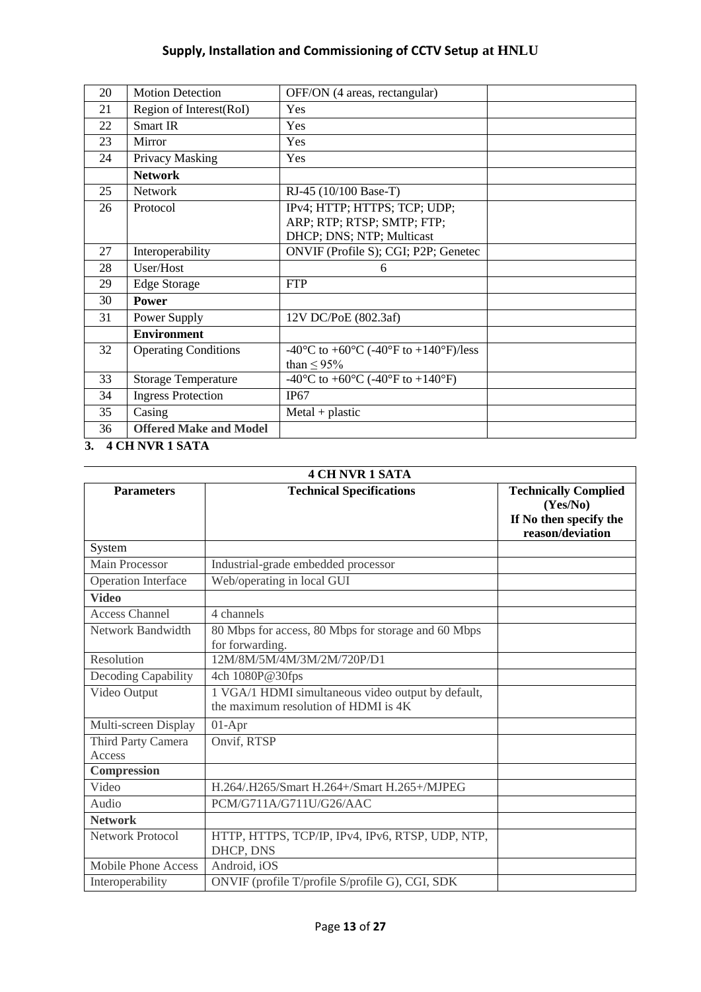| 20 | <b>Motion Detection</b>       | OFF/ON (4 areas, rectangular)         |  |
|----|-------------------------------|---------------------------------------|--|
| 21 | Region of Interest(RoI)       | Yes                                   |  |
| 22 | Smart IR                      | Yes                                   |  |
| 23 | Mirror                        | Yes                                   |  |
| 24 | Privacy Masking               | Yes                                   |  |
|    | <b>Network</b>                |                                       |  |
| 25 | <b>Network</b>                | RJ-45 (10/100 Base-T)                 |  |
| 26 | Protocol                      | IPv4; HTTP; HTTPS; TCP; UDP;          |  |
|    |                               | ARP; RTP; RTSP; SMTP; FTP;            |  |
|    |                               | DHCP; DNS; NTP; Multicast             |  |
| 27 | Interoperability              | ONVIF (Profile S); CGI; P2P; Genetec  |  |
| 28 | User/Host                     | 6                                     |  |
| 29 | <b>Edge Storage</b>           | <b>FTP</b>                            |  |
| 30 | <b>Power</b>                  |                                       |  |
| 31 | Power Supply                  | 12V DC/PoE (802.3af)                  |  |
|    | <b>Environment</b>            |                                       |  |
| 32 | <b>Operating Conditions</b>   | -40°C to +60°C (-40°F to +140°F)/less |  |
|    |                               | than $\leq$ 95%                       |  |
| 33 | <b>Storage Temperature</b>    | -40°C to +60°C (-40°F to +140°F)      |  |
| 34 | <b>Ingress Protection</b>     | IP67                                  |  |
| 35 | Casing                        | $MetaI + plastic$                     |  |
| 36 | <b>Offered Make and Model</b> |                                       |  |

**3. 4 CH NVR 1 SATA**

| <b>4 CH NVR 1 SATA</b>               |                                                                                            |                                                                                       |
|--------------------------------------|--------------------------------------------------------------------------------------------|---------------------------------------------------------------------------------------|
| <b>Parameters</b>                    | <b>Technical Specifications</b>                                                            | <b>Technically Complied</b><br>(Yes/No)<br>If No then specify the<br>reason/deviation |
| System                               |                                                                                            |                                                                                       |
| <b>Main Processor</b>                | Industrial-grade embedded processor                                                        |                                                                                       |
| <b>Operation Interface</b>           | Web/operating in local GUI                                                                 |                                                                                       |
| <b>Video</b>                         |                                                                                            |                                                                                       |
| <b>Access Channel</b>                | 4 channels                                                                                 |                                                                                       |
| Network Bandwidth                    | 80 Mbps for access, 80 Mbps for storage and 60 Mbps<br>for forwarding.                     |                                                                                       |
| Resolution                           | 12M/8M/5M/4M/3M/2M/720P/D1                                                                 |                                                                                       |
| Decoding Capability                  | 4ch 1080P@30fps                                                                            |                                                                                       |
| Video Output                         | 1 VGA/1 HDMI simultaneous video output by default,<br>the maximum resolution of HDMI is 4K |                                                                                       |
| Multi-screen Display                 | $01-Apr$                                                                                   |                                                                                       |
| Third Party Camera<br>Access         | Onvif, RTSP                                                                                |                                                                                       |
| $\label{eq:compression} Compression$ |                                                                                            |                                                                                       |
| Video                                | H.264/.H265/Smart H.264+/Smart H.265+/MJPEG                                                |                                                                                       |
| Audio                                | PCM/G711A/G711U/G26/AAC                                                                    |                                                                                       |
| <b>Network</b>                       |                                                                                            |                                                                                       |
| <b>Network Protocol</b>              | HTTP, HTTPS, TCP/IP, IPv4, IPv6, RTSP, UDP, NTP,<br>DHCP, DNS                              |                                                                                       |
| <b>Mobile Phone Access</b>           | Android, iOS                                                                               |                                                                                       |
| Interoperability                     | ONVIF (profile T/profile S/profile G), CGI, SDK                                            |                                                                                       |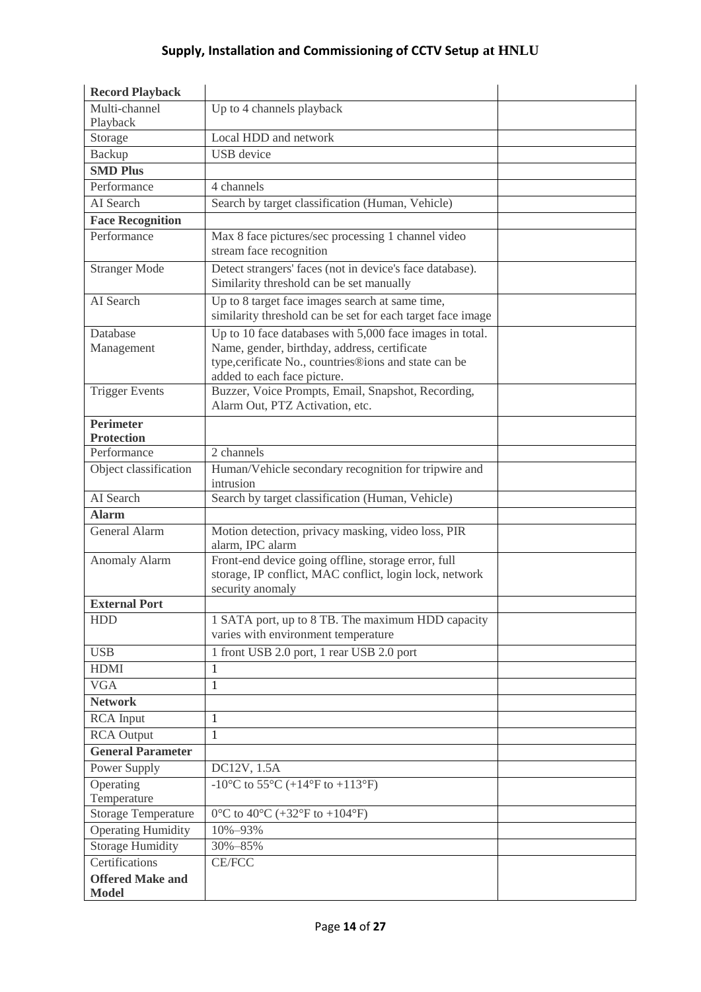| <b>Record Playback</b>                  |                                                                                                                                                                                                  |  |
|-----------------------------------------|--------------------------------------------------------------------------------------------------------------------------------------------------------------------------------------------------|--|
| Multi-channel<br>Playback               | Up to 4 channels playback                                                                                                                                                                        |  |
| Storage                                 | Local HDD and network                                                                                                                                                                            |  |
| Backup                                  | <b>USB</b> device                                                                                                                                                                                |  |
| <b>SMD Plus</b>                         |                                                                                                                                                                                                  |  |
| Performance                             | 4 channels                                                                                                                                                                                       |  |
| AI Search                               | Search by target classification (Human, Vehicle)                                                                                                                                                 |  |
| <b>Face Recognition</b>                 |                                                                                                                                                                                                  |  |
| Performance                             | Max 8 face pictures/sec processing 1 channel video<br>stream face recognition                                                                                                                    |  |
| <b>Stranger Mode</b>                    | Detect strangers' faces (not in device's face database).<br>Similarity threshold can be set manually                                                                                             |  |
| AI Search                               | Up to 8 target face images search at same time,<br>similarity threshold can be set for each target face image                                                                                    |  |
| Database<br>Management                  | Up to 10 face databases with 5,000 face images in total.<br>Name, gender, birthday, address, certificate<br>type, cerificate No., countries®ions and state can be<br>added to each face picture. |  |
| <b>Trigger Events</b>                   | Buzzer, Voice Prompts, Email, Snapshot, Recording,<br>Alarm Out, PTZ Activation, etc.                                                                                                            |  |
| <b>Perimeter</b><br><b>Protection</b>   |                                                                                                                                                                                                  |  |
| Performance                             | 2 channels                                                                                                                                                                                       |  |
| Object classification                   | Human/Vehicle secondary recognition for tripwire and<br>intrusion                                                                                                                                |  |
| AI Search                               | Search by target classification (Human, Vehicle)                                                                                                                                                 |  |
| <b>Alarm</b>                            |                                                                                                                                                                                                  |  |
| <b>General Alarm</b>                    | Motion detection, privacy masking, video loss, PIR<br>alarm, IPC alarm                                                                                                                           |  |
| <b>Anomaly Alarm</b>                    | Front-end device going offline, storage error, full<br>storage, IP conflict, MAC conflict, login lock, network<br>security anomaly                                                               |  |
| <b>External Port</b>                    |                                                                                                                                                                                                  |  |
| <b>HDD</b>                              | 1 SATA port, up to 8 TB. The maximum HDD capacity<br>varies with environment temperature                                                                                                         |  |
| <b>USB</b>                              | 1 front USB 2.0 port, 1 rear USB 2.0 port                                                                                                                                                        |  |
| <b>HDMI</b>                             | 1                                                                                                                                                                                                |  |
| <b>VGA</b>                              | $\mathbf{1}$                                                                                                                                                                                     |  |
| <b>Network</b>                          |                                                                                                                                                                                                  |  |
| <b>RCA</b> Input                        | 1                                                                                                                                                                                                |  |
| <b>RCA Output</b>                       | $\mathbf{1}$                                                                                                                                                                                     |  |
| <b>General Parameter</b>                |                                                                                                                                                                                                  |  |
| Power Supply                            | DC12V, 1.5A                                                                                                                                                                                      |  |
| Operating                               | -10°C to 55°C (+14°F to +113°F)                                                                                                                                                                  |  |
| Temperature                             |                                                                                                                                                                                                  |  |
| <b>Storage Temperature</b>              | 0°C to 40°C (+32°F to +104°F)                                                                                                                                                                    |  |
| <b>Operating Humidity</b>               | 10%-93%                                                                                                                                                                                          |  |
| <b>Storage Humidity</b>                 | 30%-85%                                                                                                                                                                                          |  |
| Certifications                          | <b>CE/FCC</b>                                                                                                                                                                                    |  |
| <b>Offered Make and</b><br><b>Model</b> |                                                                                                                                                                                                  |  |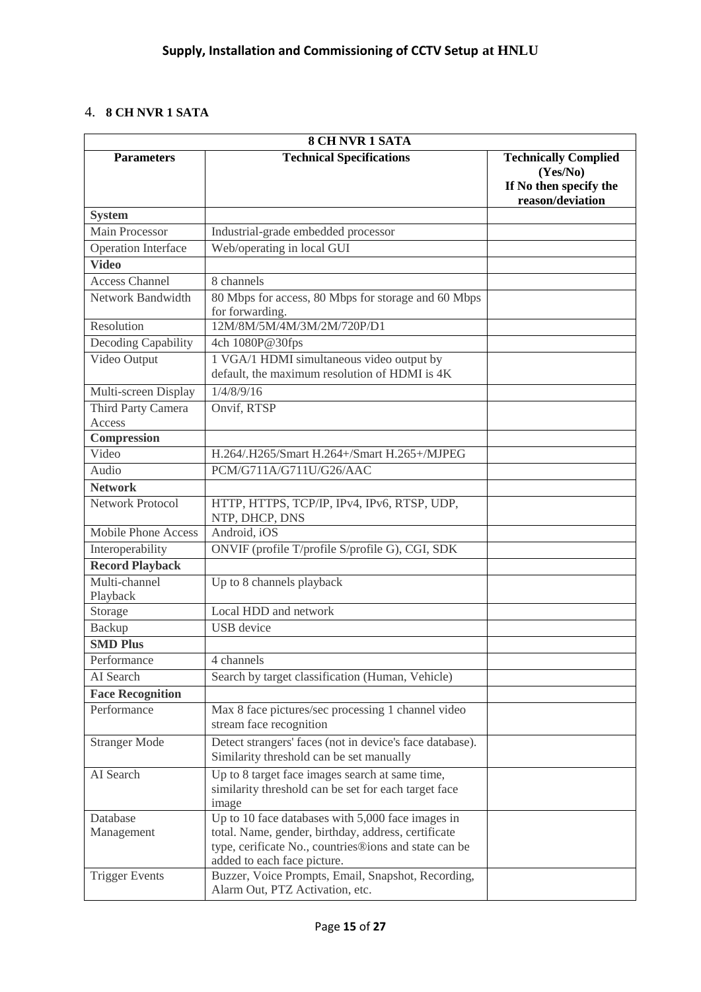## 4. **8 CH NVR 1 SATA**

| <b>8 CH NVR 1 SATA</b>       |                                                                                                                                             |                                                                                       |  |
|------------------------------|---------------------------------------------------------------------------------------------------------------------------------------------|---------------------------------------------------------------------------------------|--|
| <b>Parameters</b>            | <b>Technical Specifications</b>                                                                                                             | <b>Technically Complied</b><br>(Yes/No)<br>If No then specify the<br>reason/deviation |  |
| <b>System</b>                |                                                                                                                                             |                                                                                       |  |
| Main Processor               | Industrial-grade embedded processor                                                                                                         |                                                                                       |  |
| Operation Interface          | Web/operating in local GUI                                                                                                                  |                                                                                       |  |
| <b>Video</b>                 |                                                                                                                                             |                                                                                       |  |
| <b>Access Channel</b>        | 8 channels                                                                                                                                  |                                                                                       |  |
| Network Bandwidth            | 80 Mbps for access, 80 Mbps for storage and 60 Mbps<br>for forwarding.                                                                      |                                                                                       |  |
| Resolution                   | 12M/8M/5M/4M/3M/2M/720P/D1                                                                                                                  |                                                                                       |  |
| Decoding Capability          | 4ch 1080P@30fps                                                                                                                             |                                                                                       |  |
| Video Output                 | 1 VGA/1 HDMI simultaneous video output by<br>default, the maximum resolution of HDMI is 4K                                                  |                                                                                       |  |
| Multi-screen Display         | 1/4/8/9/16                                                                                                                                  |                                                                                       |  |
| Third Party Camera<br>Access | Onvif, RTSP                                                                                                                                 |                                                                                       |  |
| Compression                  |                                                                                                                                             |                                                                                       |  |
| Video                        | H.264/.H265/Smart H.264+/Smart H.265+/MJPEG                                                                                                 |                                                                                       |  |
| Audio                        | PCM/G711A/G711U/G26/AAC                                                                                                                     |                                                                                       |  |
| <b>Network</b>               |                                                                                                                                             |                                                                                       |  |
| <b>Network Protocol</b>      | HTTP, HTTPS, TCP/IP, IPv4, IPv6, RTSP, UDP,<br>NTP, DHCP, DNS                                                                               |                                                                                       |  |
| Mobile Phone Access          | Android, iOS                                                                                                                                |                                                                                       |  |
| Interoperability             | ONVIF (profile T/profile S/profile G), CGI, SDK                                                                                             |                                                                                       |  |
| <b>Record Playback</b>       |                                                                                                                                             |                                                                                       |  |
| Multi-channel<br>Playback    | Up to 8 channels playback                                                                                                                   |                                                                                       |  |
| Storage                      | Local HDD and network                                                                                                                       |                                                                                       |  |
| Backup                       | <b>USB</b> device                                                                                                                           |                                                                                       |  |
| <b>SMD Plus</b>              |                                                                                                                                             |                                                                                       |  |
| Performance                  | 4 channels                                                                                                                                  |                                                                                       |  |
| AI Search                    | Search by target classification (Human, Vehicle)                                                                                            |                                                                                       |  |
| <b>Face Recognition</b>      |                                                                                                                                             |                                                                                       |  |
| Performance                  | Max 8 face pictures/sec processing 1 channel video<br>stream face recognition                                                               |                                                                                       |  |
| <b>Stranger Mode</b>         | Detect strangers' faces (not in device's face database).<br>Similarity threshold can be set manually                                        |                                                                                       |  |
| AI Search                    | Up to 8 target face images search at same time,<br>similarity threshold can be set for each target face<br>image                            |                                                                                       |  |
| Database                     | Up to 10 face databases with 5,000 face images in                                                                                           |                                                                                       |  |
| Management                   | total. Name, gender, birthday, address, certificate<br>type, cerificate No., countries®ions and state can be<br>added to each face picture. |                                                                                       |  |
| <b>Trigger Events</b>        | Buzzer, Voice Prompts, Email, Snapshot, Recording,<br>Alarm Out, PTZ Activation, etc.                                                       |                                                                                       |  |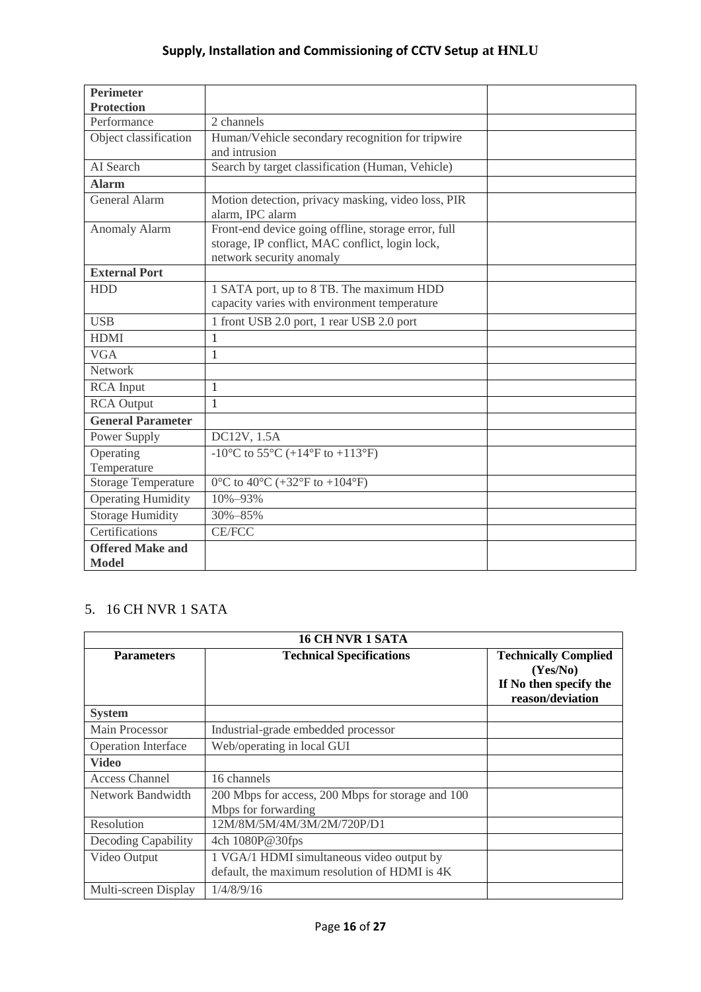| <b>Perimeter</b>           |                                                     |  |
|----------------------------|-----------------------------------------------------|--|
| <b>Protection</b>          |                                                     |  |
| Performance                | 2 channels                                          |  |
| Object classification      | Human/Vehicle secondary recognition for tripwire    |  |
|                            | and intrusion                                       |  |
| AI Search                  | Search by target classification (Human, Vehicle)    |  |
| <b>Alarm</b>               |                                                     |  |
| <b>General Alarm</b>       | Motion detection, privacy masking, video loss, PIR  |  |
|                            | alarm, IPC alarm                                    |  |
| <b>Anomaly Alarm</b>       | Front-end device going offline, storage error, full |  |
|                            | storage, IP conflict, MAC conflict, login lock,     |  |
|                            | network security anomaly                            |  |
| <b>External Port</b>       |                                                     |  |
| <b>HDD</b>                 | 1 SATA port, up to 8 TB. The maximum HDD            |  |
|                            | capacity varies with environment temperature        |  |
| <b>USB</b>                 | 1 front USB 2.0 port, 1 rear USB 2.0 port           |  |
| <b>HDMI</b>                | 1                                                   |  |
| <b>VGA</b>                 | 1                                                   |  |
| Network                    |                                                     |  |
| <b>RCA</b> Input           | 1                                                   |  |
| <b>RCA</b> Output          | $\mathbf{1}$                                        |  |
| <b>General Parameter</b>   |                                                     |  |
| Power Supply               | DC12V, 1.5A                                         |  |
| Operating                  | -10°C to 55°C (+14°F to +113°F)                     |  |
| Temperature                |                                                     |  |
| <b>Storage Temperature</b> | 0°C to 40°C (+32°F to +104°F)                       |  |
| <b>Operating Humidity</b>  | $10\% - 93\%$                                       |  |
| <b>Storage Humidity</b>    | 30%-85%                                             |  |
| Certifications             | <b>CE/FCC</b>                                       |  |
| <b>Offered Make and</b>    |                                                     |  |
| <b>Model</b>               |                                                     |  |

# 5. 16 CH NVR 1 SATA

| <b>16 CH NVR 1 SATA</b>    |                                                                                            |                                                                                       |
|----------------------------|--------------------------------------------------------------------------------------------|---------------------------------------------------------------------------------------|
| <b>Parameters</b>          | <b>Technical Specifications</b>                                                            | <b>Technically Complied</b><br>(Yes/No)<br>If No then specify the<br>reason/deviation |
| <b>System</b>              |                                                                                            |                                                                                       |
| <b>Main Processor</b>      | Industrial-grade embedded processor                                                        |                                                                                       |
| <b>Operation Interface</b> | Web/operating in local GUI                                                                 |                                                                                       |
| <b>Video</b>               |                                                                                            |                                                                                       |
| Access Channel             | 16 channels                                                                                |                                                                                       |
| Network Bandwidth          | 200 Mbps for access, 200 Mbps for storage and 100<br>Mbps for forwarding                   |                                                                                       |
| Resolution                 | 12M/8M/5M/4M/3M/2M/720P/D1                                                                 |                                                                                       |
| Decoding Capability        | 4ch 1080P@30fps                                                                            |                                                                                       |
| Video Output               | 1 VGA/1 HDMI simultaneous video output by<br>default, the maximum resolution of HDMI is 4K |                                                                                       |
| Multi-screen Display       | 1/4/8/9/16                                                                                 |                                                                                       |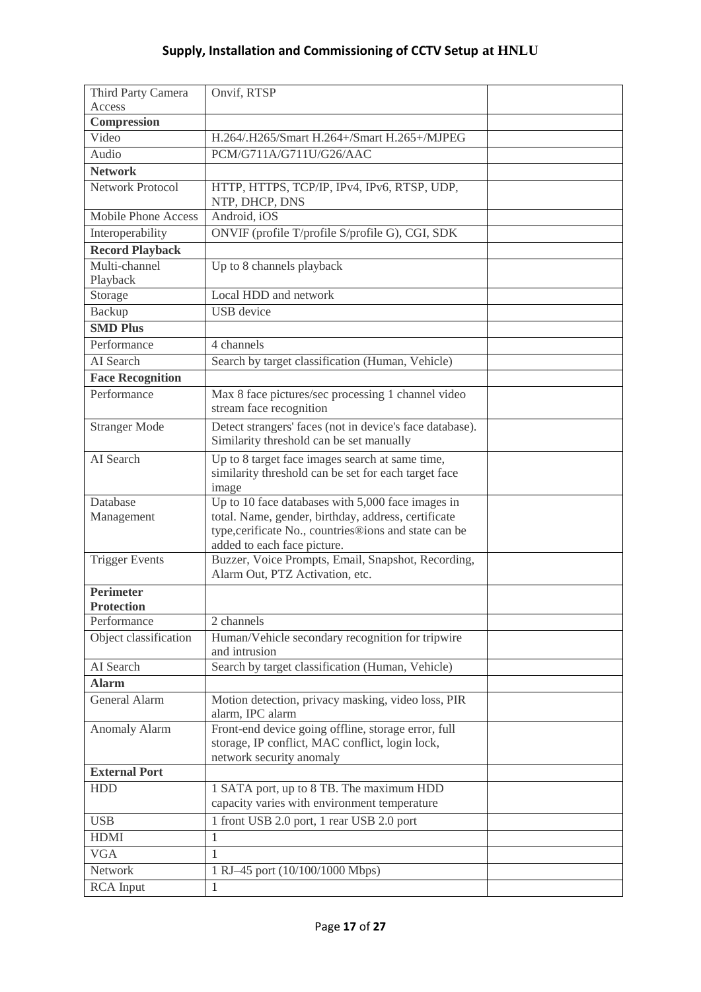| Third Party Camera                    | Onvif, RTSP                                                                                                                                                                                      |  |
|---------------------------------------|--------------------------------------------------------------------------------------------------------------------------------------------------------------------------------------------------|--|
| Access                                |                                                                                                                                                                                                  |  |
| Compression                           |                                                                                                                                                                                                  |  |
| Video                                 | H.264/.H265/Smart H.264+/Smart H.265+/MJPEG                                                                                                                                                      |  |
| Audio                                 | PCM/G711A/G711U/G26/AAC                                                                                                                                                                          |  |
| <b>Network</b>                        |                                                                                                                                                                                                  |  |
| <b>Network Protocol</b>               | HTTP, HTTPS, TCP/IP, IPv4, IPv6, RTSP, UDP,<br>NTP, DHCP, DNS                                                                                                                                    |  |
| <b>Mobile Phone Access</b>            | Android, iOS                                                                                                                                                                                     |  |
| Interoperability                      | ONVIF (profile T/profile S/profile G), CGI, SDK                                                                                                                                                  |  |
| <b>Record Playback</b>                |                                                                                                                                                                                                  |  |
| Multi-channel                         | Up to 8 channels playback                                                                                                                                                                        |  |
| Playback                              |                                                                                                                                                                                                  |  |
| Storage                               | Local HDD and network                                                                                                                                                                            |  |
| <b>Backup</b>                         | <b>USB</b> device                                                                                                                                                                                |  |
| <b>SMD Plus</b>                       |                                                                                                                                                                                                  |  |
| Performance                           | 4 channels                                                                                                                                                                                       |  |
| AI Search                             | Search by target classification (Human, Vehicle)                                                                                                                                                 |  |
| <b>Face Recognition</b>               |                                                                                                                                                                                                  |  |
| Performance                           | Max 8 face pictures/sec processing 1 channel video<br>stream face recognition                                                                                                                    |  |
| <b>Stranger Mode</b>                  | Detect strangers' faces (not in device's face database).<br>Similarity threshold can be set manually                                                                                             |  |
| AI Search                             | Up to 8 target face images search at same time,<br>similarity threshold can be set for each target face<br>image                                                                                 |  |
| Database<br>Management                | Up to 10 face databases with 5,000 face images in<br>total. Name, gender, birthday, address, certificate<br>type, cerificate No., countries®ions and state can be<br>added to each face picture. |  |
| <b>Trigger Events</b>                 | Buzzer, Voice Prompts, Email, Snapshot, Recording,<br>Alarm Out, PTZ Activation, etc.                                                                                                            |  |
| <b>Perimeter</b><br><b>Protection</b> |                                                                                                                                                                                                  |  |
| Performance                           | 2 channels                                                                                                                                                                                       |  |
| Object classification                 | Human/Vehicle secondary recognition for tripwire<br>and intrusion                                                                                                                                |  |
| AI Search                             | Search by target classification (Human, Vehicle)                                                                                                                                                 |  |
| <b>Alarm</b>                          |                                                                                                                                                                                                  |  |
| <b>General Alarm</b>                  | Motion detection, privacy masking, video loss, PIR<br>alarm, IPC alarm                                                                                                                           |  |
| <b>Anomaly Alarm</b>                  | Front-end device going offline, storage error, full<br>storage, IP conflict, MAC conflict, login lock,<br>network security anomaly                                                               |  |
| <b>External Port</b>                  |                                                                                                                                                                                                  |  |
| <b>HDD</b>                            | 1 SATA port, up to 8 TB. The maximum HDD<br>capacity varies with environment temperature                                                                                                         |  |
| <b>USB</b>                            | 1 front USB 2.0 port, 1 rear USB 2.0 port                                                                                                                                                        |  |
| <b>HDMI</b>                           | $\mathbf{1}$                                                                                                                                                                                     |  |
| <b>VGA</b>                            | 1                                                                                                                                                                                                |  |
| Network                               | 1 RJ-45 port (10/100/1000 Mbps)                                                                                                                                                                  |  |
| <b>RCA</b> Input                      | $\mathbf{1}$                                                                                                                                                                                     |  |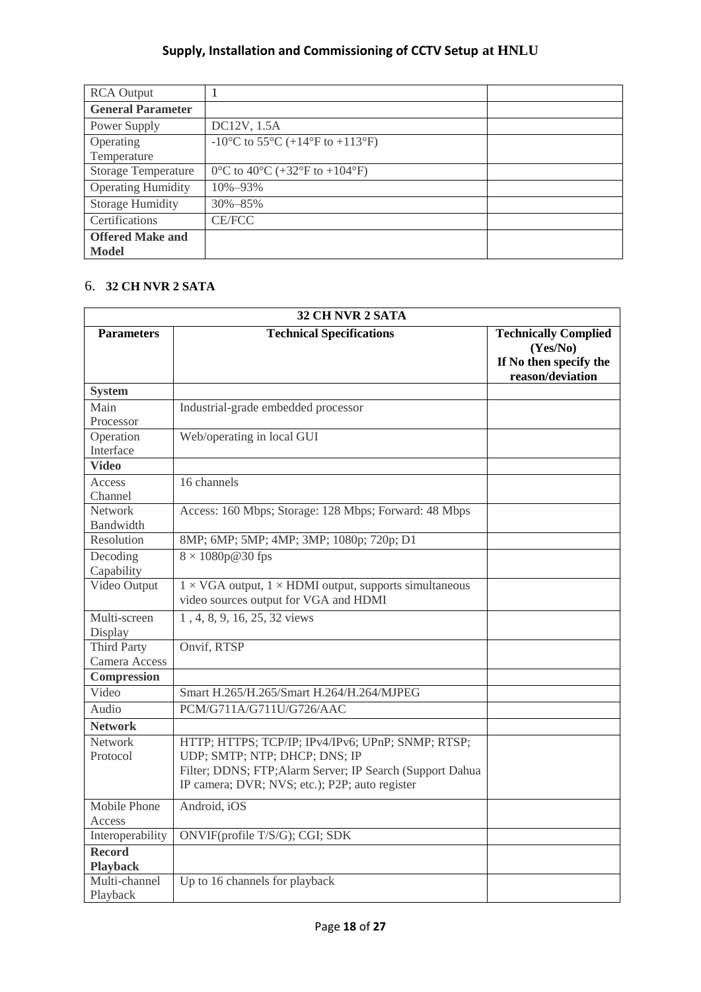| <b>RCA Output</b>                       |                                                                                     |  |
|-----------------------------------------|-------------------------------------------------------------------------------------|--|
| <b>General Parameter</b>                |                                                                                     |  |
| Power Supply                            | DC12V, 1.5A                                                                         |  |
| Operating<br>Temperature                | -10 <sup>o</sup> C to 55 <sup>o</sup> C (+14 <sup>o</sup> F to +113 <sup>o</sup> F) |  |
| <b>Storage Temperature</b>              | 0°C to 40°C (+32°F to +104°F)                                                       |  |
| <b>Operating Humidity</b>               | 10%-93%                                                                             |  |
| <b>Storage Humidity</b>                 | $30\% - 85\%$                                                                       |  |
| Certifications                          | <b>CE/FCC</b>                                                                       |  |
| <b>Offered Make and</b><br><b>Model</b> |                                                                                     |  |

## 6. **32 CH NVR 2 SATA**

| 32 CH NVR 2 SATA                    |                                                                                                                                                                                                   |                                                                                       |  |  |
|-------------------------------------|---------------------------------------------------------------------------------------------------------------------------------------------------------------------------------------------------|---------------------------------------------------------------------------------------|--|--|
| <b>Parameters</b>                   | <b>Technical Specifications</b>                                                                                                                                                                   | <b>Technically Complied</b><br>(Yes/No)<br>If No then specify the<br>reason/deviation |  |  |
| <b>System</b>                       |                                                                                                                                                                                                   |                                                                                       |  |  |
| Main<br>Processor                   | Industrial-grade embedded processor                                                                                                                                                               |                                                                                       |  |  |
| Operation<br>Interface              | Web/operating in local GUI                                                                                                                                                                        |                                                                                       |  |  |
| <b>Video</b>                        |                                                                                                                                                                                                   |                                                                                       |  |  |
| Access<br>Channel                   | 16 channels                                                                                                                                                                                       |                                                                                       |  |  |
| Network<br>Bandwidth                | Access: 160 Mbps; Storage: 128 Mbps; Forward: 48 Mbps                                                                                                                                             |                                                                                       |  |  |
| Resolution                          | 8MP; 6MP; 5MP; 4MP; 3MP; 1080p; 720p; D1                                                                                                                                                          |                                                                                       |  |  |
| Decoding<br>Capability              | $8 \times 1080p@30$ fps                                                                                                                                                                           |                                                                                       |  |  |
| Video Output                        | $1 \times VGA$ output, $1 \times HDMI$ output, supports simultaneous<br>video sources output for VGA and HDMI                                                                                     |                                                                                       |  |  |
| Multi-screen<br>Display             | 1, 4, 8, 9, 16, 25, 32 views                                                                                                                                                                      |                                                                                       |  |  |
| <b>Third Party</b><br>Camera Access | Onvif, RTSP                                                                                                                                                                                       |                                                                                       |  |  |
| Compression                         |                                                                                                                                                                                                   |                                                                                       |  |  |
| Video                               | Smart H.265/H.265/Smart H.264/H.264/MJPEG                                                                                                                                                         |                                                                                       |  |  |
| Audio                               | PCM/G711A/G711U/G726/AAC                                                                                                                                                                          |                                                                                       |  |  |
| <b>Network</b>                      |                                                                                                                                                                                                   |                                                                                       |  |  |
| Network<br>Protocol                 | HTTP; HTTPS; TCP/IP; IPv4/IPv6; UPnP; SNMP; RTSP;<br>UDP; SMTP; NTP; DHCP; DNS; IP<br>Filter; DDNS; FTP; Alarm Server; IP Search (Support Dahua<br>IP camera; DVR; NVS; etc.); P2P; auto register |                                                                                       |  |  |
| Mobile Phone<br>Access              | Android, iOS                                                                                                                                                                                      |                                                                                       |  |  |
| Interoperability                    | ONVIF(profile T/S/G); CGI; SDK                                                                                                                                                                    |                                                                                       |  |  |
| Record<br><b>Playback</b>           |                                                                                                                                                                                                   |                                                                                       |  |  |
| Multi-channel<br>Playback           | Up to 16 channels for playback                                                                                                                                                                    |                                                                                       |  |  |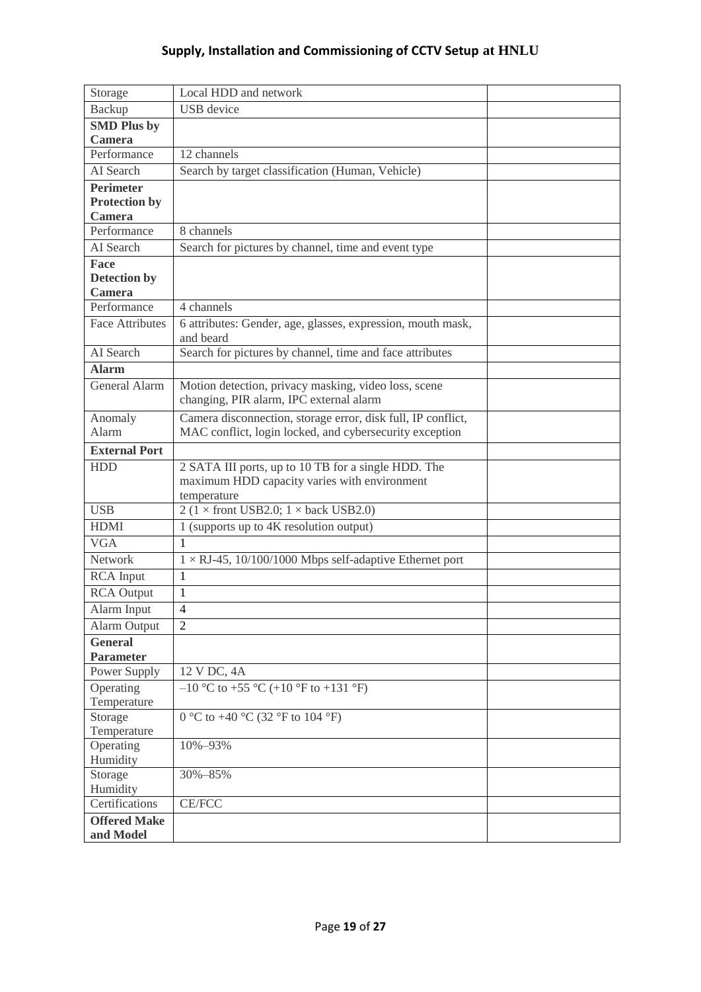| Storage                | Local HDD and network                                                    |  |
|------------------------|--------------------------------------------------------------------------|--|
| <b>Backup</b>          | <b>USB</b> device                                                        |  |
| <b>SMD Plus by</b>     |                                                                          |  |
| <b>Camera</b>          |                                                                          |  |
| Performance            | 12 channels                                                              |  |
| AI Search              | Search by target classification (Human, Vehicle)                         |  |
| <b>Perimeter</b>       |                                                                          |  |
| <b>Protection by</b>   |                                                                          |  |
| <b>Camera</b>          |                                                                          |  |
| Performance            | 8 channels                                                               |  |
| AI Search              | Search for pictures by channel, time and event type                      |  |
| Face                   |                                                                          |  |
| Detection by           |                                                                          |  |
| Camera                 |                                                                          |  |
| Performance            | 4 channels                                                               |  |
| <b>Face Attributes</b> | 6 attributes: Gender, age, glasses, expression, mouth mask,<br>and beard |  |
| AI Search              | Search for pictures by channel, time and face attributes                 |  |
| <b>Alarm</b>           |                                                                          |  |
| General Alarm          | Motion detection, privacy masking, video loss, scene                     |  |
|                        | changing, PIR alarm, IPC external alarm                                  |  |
| Anomaly                | Camera disconnection, storage error, disk full, IP conflict,             |  |
| Alarm                  | MAC conflict, login locked, and cybersecurity exception                  |  |
| <b>External Port</b>   |                                                                          |  |
| <b>HDD</b>             | 2 SATA III ports, up to 10 TB for a single HDD. The                      |  |
|                        | maximum HDD capacity varies with environment                             |  |
|                        | temperature                                                              |  |
| <b>USB</b>             | 2 ( $1 \times$ front USB2.0; $1 \times$ back USB2.0)                     |  |
| <b>HDMI</b>            | 1 (supports up to 4K resolution output)                                  |  |
| <b>VGA</b>             | 1                                                                        |  |
| Network                | $1 \times$ RJ-45, 10/100/1000 Mbps self-adaptive Ethernet port           |  |
| <b>RCA</b> Input       | $\mathbf{1}$                                                             |  |
| <b>RCA</b> Output      | 1                                                                        |  |
| Alarm Input            | 4                                                                        |  |
| <b>Alarm Output</b>    | $\overline{2}$                                                           |  |
| <b>General</b>         |                                                                          |  |
| <b>Parameter</b>       |                                                                          |  |
| Power Supply           | 12 V DC, 4A                                                              |  |
| Operating              | $-10$ °C to +55 °C (+10 °F to +131 °F)                                   |  |
| Temperature            |                                                                          |  |
| Storage                | 0 °C to +40 °C (32 °F to 104 °F)                                         |  |
| Temperature            |                                                                          |  |
| Operating              | 10%-93%                                                                  |  |
| Humidity               |                                                                          |  |
| Storage                | 30%-85%                                                                  |  |
| Humidity               |                                                                          |  |
| Certifications         | <b>CE/FCC</b>                                                            |  |
| <b>Offered Make</b>    |                                                                          |  |
| and Model              |                                                                          |  |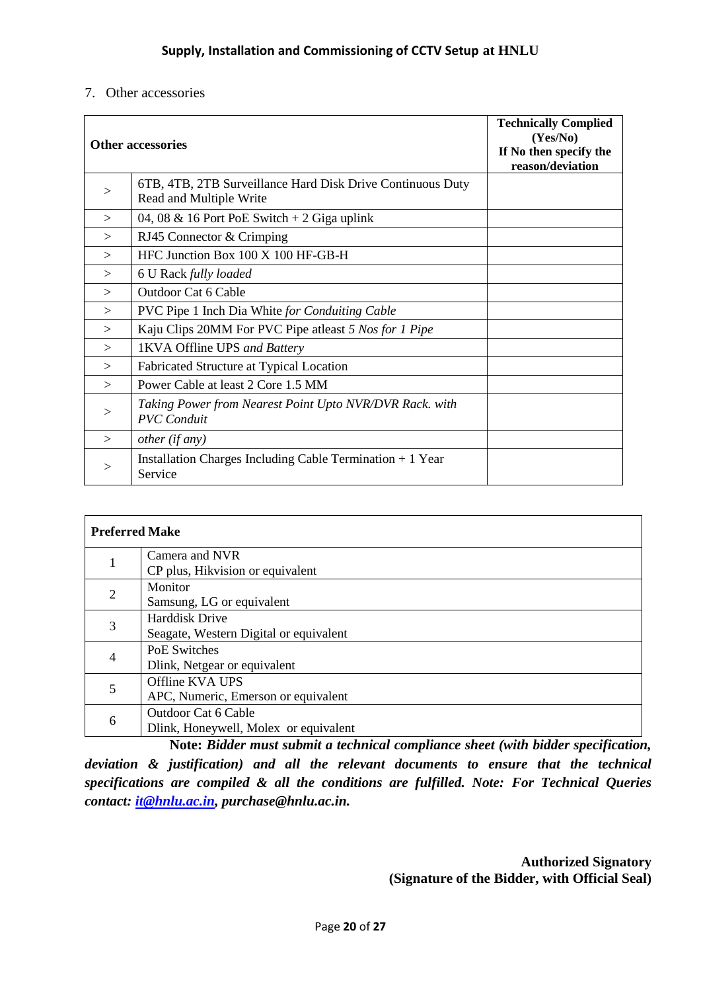#### 7. Other accessories

|        | Other accessories                                                                     | <b>Technically Complied</b><br>(Yes/No)<br>If No then specify the<br>reason/deviation |
|--------|---------------------------------------------------------------------------------------|---------------------------------------------------------------------------------------|
| >      | 6TB, 4TB, 2TB Surveillance Hard Disk Drive Continuous Duty<br>Read and Multiple Write |                                                                                       |
| >      | 04, 08 & 16 Port PoE Switch $+2$ Giga uplink                                          |                                                                                       |
| $\geq$ | RJ45 Connector & Crimping                                                             |                                                                                       |
| $\geq$ | HFC Junction Box 100 X 100 HF-GB-H                                                    |                                                                                       |
| >      | 6 U Rack fully loaded                                                                 |                                                                                       |
| >      | <b>Outdoor Cat 6 Cable</b>                                                            |                                                                                       |
| $\geq$ | PVC Pipe 1 Inch Dia White for Conduiting Cable                                        |                                                                                       |
| $\geq$ | Kaju Clips 20MM For PVC Pipe at least 5 Nos for 1 Pipe                                |                                                                                       |
| $\geq$ | 1KVA Offline UPS and Battery                                                          |                                                                                       |
| $\geq$ | Fabricated Structure at Typical Location                                              |                                                                                       |
| $\geq$ | Power Cable at least 2 Core 1.5 MM                                                    |                                                                                       |
| >      | Taking Power from Nearest Point Upto NVR/DVR Rack. with<br><b>PVC</b> Conduit         |                                                                                       |
| $\geq$ | other (if any)                                                                        |                                                                                       |
| >      | Installation Charges Including Cable Termination $+1$ Year<br>Service                 |                                                                                       |

| <b>Preferred Make</b> |                                        |  |
|-----------------------|----------------------------------------|--|
|                       | Camera and NVR                         |  |
|                       | CP plus, Hikvision or equivalent       |  |
| 2                     | Monitor                                |  |
|                       | Samsung, LG or equivalent              |  |
| 3                     | <b>Harddisk Drive</b>                  |  |
|                       | Seagate, Western Digital or equivalent |  |
| 4                     | <b>PoE Switches</b>                    |  |
|                       | Dlink, Netgear or equivalent           |  |
| 5                     | Offline KVA UPS                        |  |
|                       | APC, Numeric, Emerson or equivalent    |  |
|                       | <b>Outdoor Cat 6 Cable</b>             |  |
| 6                     | Dlink, Honeywell, Molex or equivalent  |  |

**Note:** *Bidder must submit a technical compliance sheet (with bidder specification, deviation & justification) and all the relevant documents to ensure that the technical specifications are compiled & all the conditions are fulfilled. Note: For Technical Queries contact: [it@hnlu.ac.in,](mailto:it@hnlu.ac.in) purchase@hnlu.ac.in.*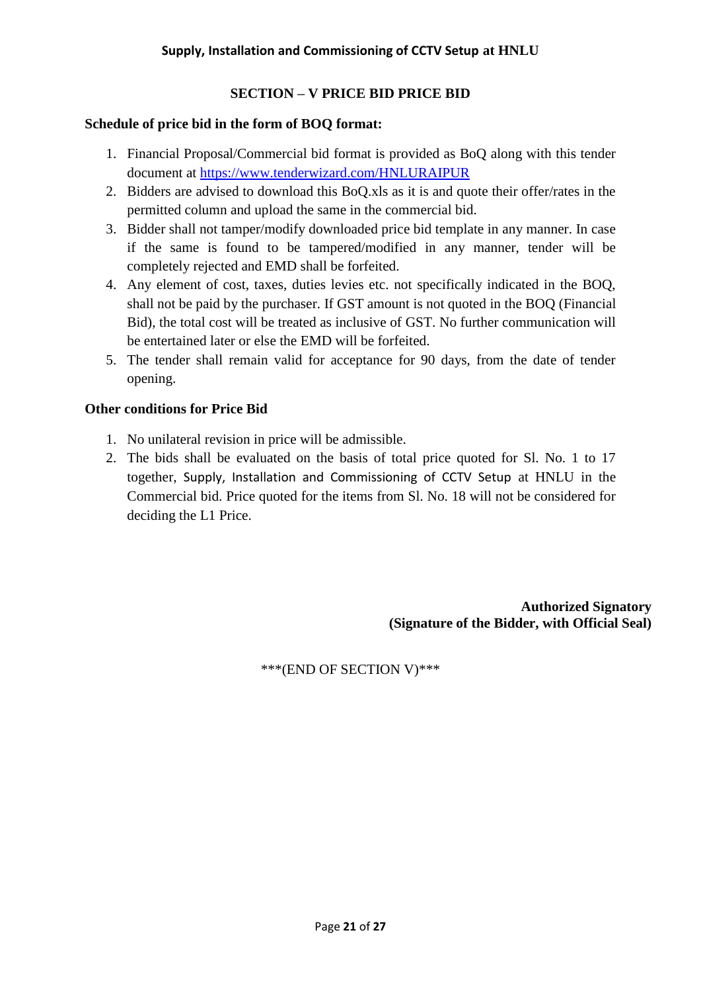## **SECTION – V PRICE BID PRICE BID**

#### **Schedule of price bid in the form of BOQ format:**

- 1. Financial Proposal/Commercial bid format is provided as BoQ along with this tender document at<https://www.tenderwizard.com/HNLURAIPUR>
- 2. Bidders are advised to download this BoQ.xls as it is and quote their offer/rates in the permitted column and upload the same in the commercial bid.
- 3. Bidder shall not tamper/modify downloaded price bid template in any manner. In case if the same is found to be tampered/modified in any manner, tender will be completely rejected and EMD shall be forfeited.
- 4. Any element of cost, taxes, duties levies etc. not specifically indicated in the BOQ, shall not be paid by the purchaser. If GST amount is not quoted in the BOQ (Financial Bid), the total cost will be treated as inclusive of GST. No further communication will be entertained later or else the EMD will be forfeited.
- 5. The tender shall remain valid for acceptance for 90 days, from the date of tender opening.

#### **Other conditions for Price Bid**

- 1. No unilateral revision in price will be admissible.
- 2. The bids shall be evaluated on the basis of total price quoted for Sl. No. 1 to 17 together, Supply, Installation and Commissioning of CCTV Setup at HNLU in the Commercial bid. Price quoted for the items from Sl. No. 18 will not be considered for deciding the L1 Price.

**Authorized Signatory (Signature of the Bidder, with Official Seal)**

\*\*\*(END OF SECTION V)\*\*\*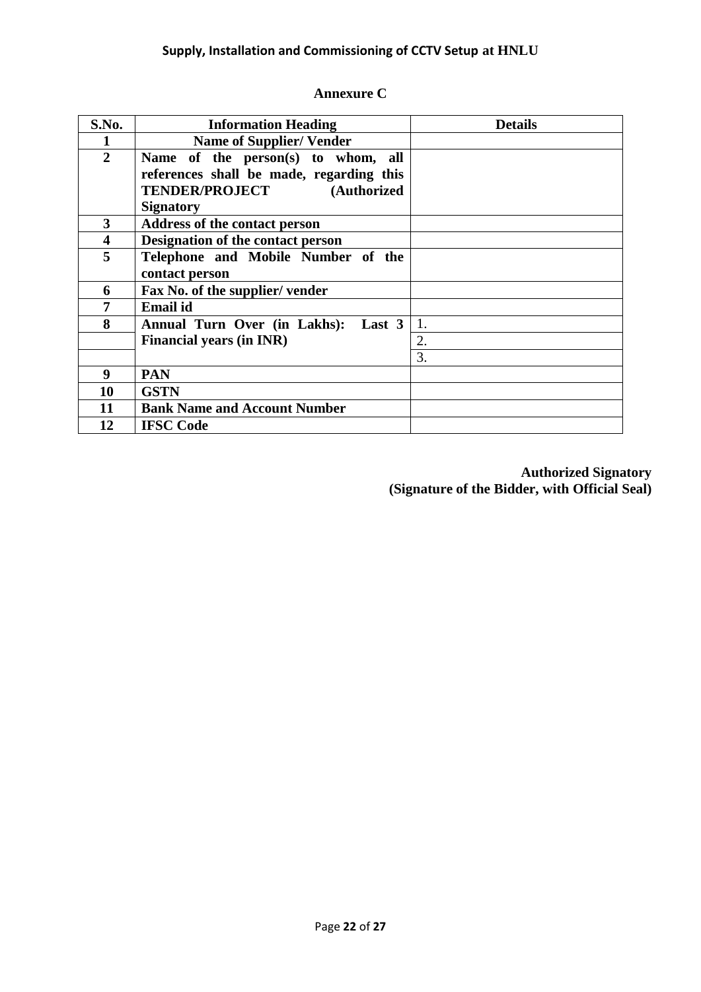## **Annexure C**

| S.No.                   | <b>Information Heading</b>               | <b>Details</b> |
|-------------------------|------------------------------------------|----------------|
|                         | <b>Name of Supplier/ Vender</b>          |                |
| $\overline{2}$          | Name of the person(s) to whom, all       |                |
|                         | references shall be made, regarding this |                |
|                         | <b>TENDER/PROJECT</b><br>(Authorized     |                |
|                         | <b>Signatory</b>                         |                |
| 3                       | Address of the contact person            |                |
| $\overline{\mathbf{4}}$ | Designation of the contact person        |                |
| 5                       | Telephone and Mobile Number of the       |                |
|                         | contact person                           |                |
| 6                       | Fax No. of the supplier/vender           |                |
|                         | <b>Email</b> id                          |                |
| 8                       | Last 3<br>Annual Turn Over (in Lakhs):   | 1.             |
|                         | <b>Financial years (in INR)</b>          | 2.             |
|                         |                                          | 3.             |
| 9                       | <b>PAN</b>                               |                |
| 10                      | <b>GSTN</b>                              |                |
| 11                      | <b>Bank Name and Account Number</b>      |                |
| 12                      | <b>IFSC Code</b>                         |                |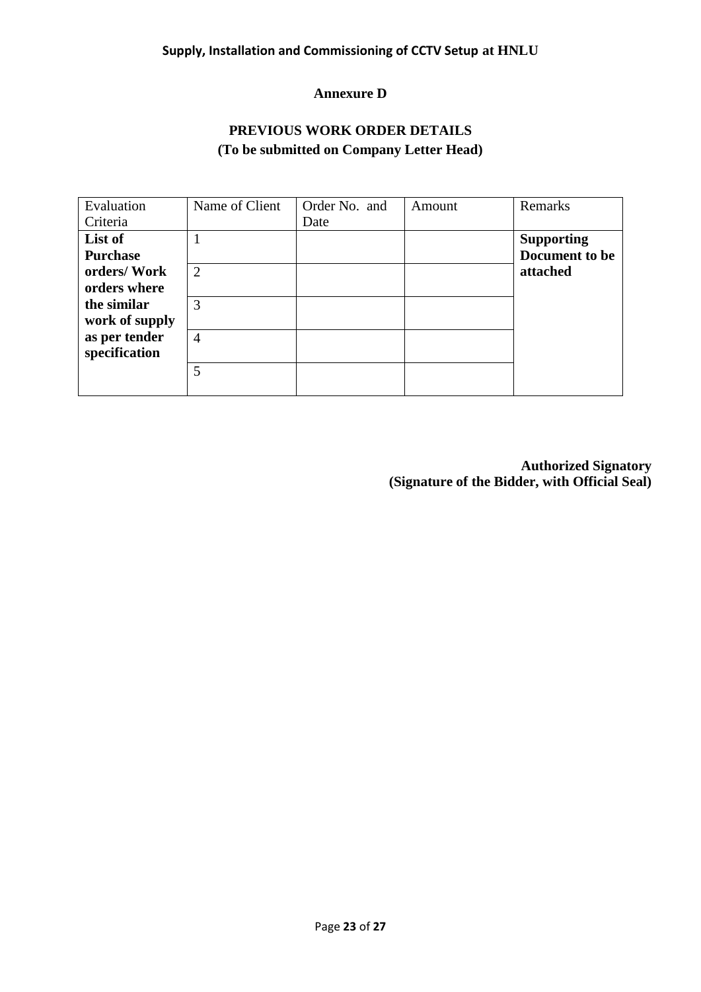#### **Annexure D**

## **PREVIOUS WORK ORDER DETAILS (To be submitted on Company Letter Head)**

| Evaluation      | Name of Client | Order No. and | Amount | Remarks           |
|-----------------|----------------|---------------|--------|-------------------|
| Criteria        |                | Date          |        |                   |
| List of         | 1              |               |        | <b>Supporting</b> |
| <b>Purchase</b> |                |               |        | Document to be    |
| orders/Work     | $\overline{2}$ |               |        | attached          |
| orders where    |                |               |        |                   |
| the similar     | 3              |               |        |                   |
| work of supply  |                |               |        |                   |
| as per tender   | $\overline{4}$ |               |        |                   |
| specification   |                |               |        |                   |
|                 | 5              |               |        |                   |
|                 |                |               |        |                   |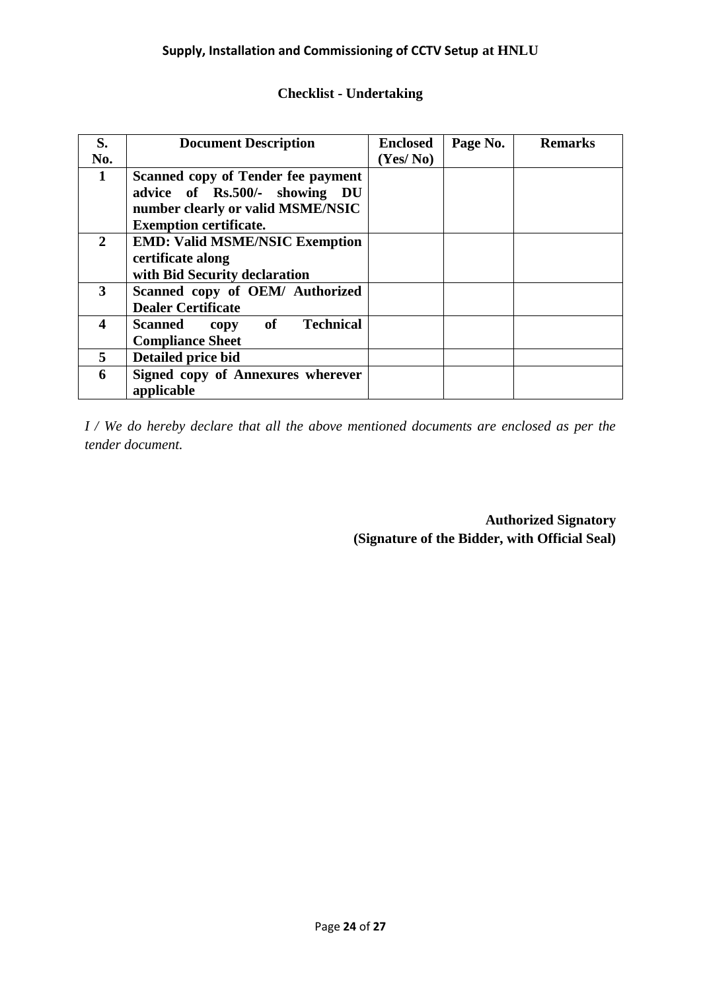| <b>Checklist - Undertaking</b> |  |  |  |  |
|--------------------------------|--|--|--|--|
|--------------------------------|--|--|--|--|

| S.           | <b>Document Description</b>                             | <b>Enclosed</b> | Page No. | <b>Remarks</b> |
|--------------|---------------------------------------------------------|-----------------|----------|----------------|
| No.          |                                                         | (Yes/No)        |          |                |
| 1            | Scanned copy of Tender fee payment                      |                 |          |                |
|              | advice of Rs.500/- showing DU                           |                 |          |                |
|              | number clearly or valid MSME/NSIC                       |                 |          |                |
|              | <b>Exemption certificate.</b>                           |                 |          |                |
| $\mathbf{2}$ | <b>EMD: Valid MSME/NSIC Exemption</b>                   |                 |          |                |
|              | certificate along                                       |                 |          |                |
|              | with Bid Security declaration                           |                 |          |                |
| 3            | Scanned copy of OEM/ Authorized                         |                 |          |                |
|              | <b>Dealer Certificate</b>                               |                 |          |                |
| 4            | $\bf{of}$<br><b>Technical</b><br><b>Scanned</b><br>copy |                 |          |                |
|              | <b>Compliance Sheet</b>                                 |                 |          |                |
| 5            | Detailed price bid                                      |                 |          |                |
| 6            | Signed copy of Annexures wherever                       |                 |          |                |
|              | applicable                                              |                 |          |                |

*I / We do hereby declare that all the above mentioned documents are enclosed as per the tender document.*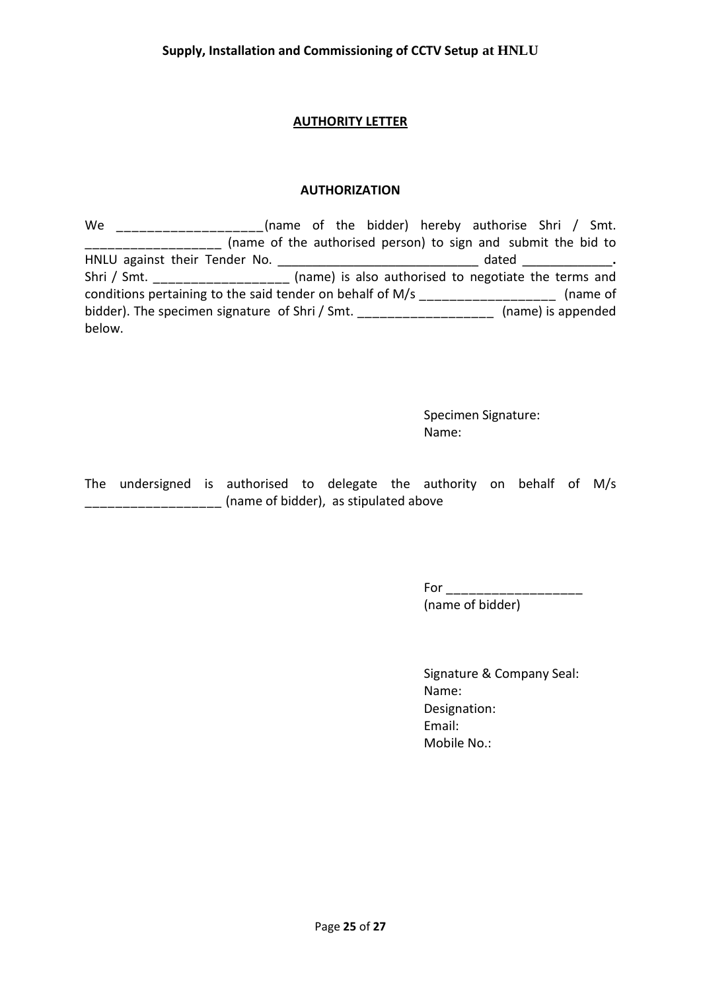#### **AUTHORITY LETTER**

#### **AUTHORIZATION**

We \_\_\_\_\_\_\_\_\_\_\_\_\_\_\_\_\_\_\_(name of the bidder) hereby authorise Shri / Smt. \_\_\_\_\_\_\_\_\_\_\_\_\_\_\_\_\_\_ (name of the authorised person) to sign and submit the bid to HNLU against their Tender No. \_\_\_\_\_\_\_\_\_\_\_\_\_\_\_\_\_\_\_\_\_\_\_\_\_\_\_\_\_ dated \_\_\_\_\_\_\_\_\_\_\_\_\_**.**  Shri / Smt. \_\_\_\_\_\_\_\_\_\_\_\_\_\_\_\_\_\_\_ (name) is also authorised to negotiate the terms and conditions pertaining to the said tender on behalf of M/s \_\_\_\_\_\_\_\_\_\_\_\_\_\_\_\_\_\_\_\_\_\_ (name of bidder). The specimen signature of Shri / Smt. \_\_\_\_\_\_\_\_\_\_\_\_\_\_\_\_\_\_\_\_\_\_ (name) is appended below.

> Specimen Signature: Name:

The undersigned is authorised to delegate the authority on behalf of M/s \_\_\_\_\_\_\_\_\_\_\_\_\_\_\_\_\_\_ (name of bidder), as stipulated above

> For  $\Box$ (name of bidder)

Signature & Company Seal: Name: Designation: Email: Mobile No.: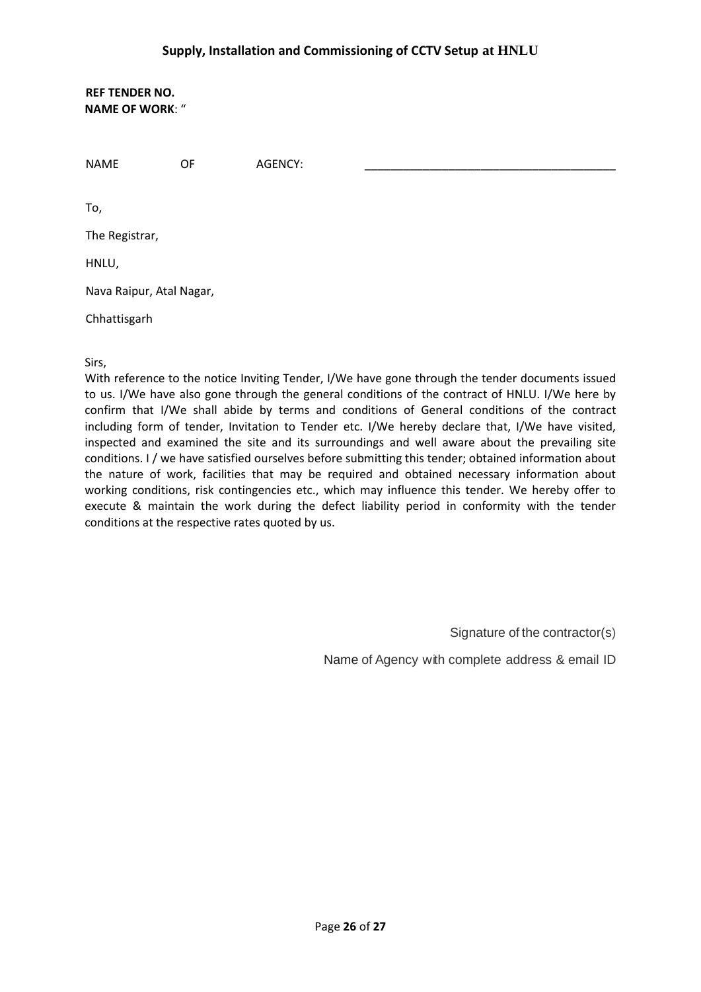**REF TENDER NO. NAME OF WORK**: "

NAME OF AGENCY: \_\_\_\_\_\_\_\_\_\_\_\_\_\_\_\_\_\_\_\_\_\_\_\_\_\_\_\_\_\_\_\_\_\_\_\_\_\_\_

To,

The Registrar,

HNLU,

Nava Raipur, Atal Nagar,

Chhattisgarh

Sirs,

With reference to the notice Inviting Tender, I/We have gone through the tender documents issued to us. I/We have also gone through the general conditions of the contract of HNLU. I/We here by confirm that I/We shall abide by terms and conditions of General conditions of the contract including form of tender, Invitation to Tender etc. I/We hereby declare that, I/We have visited, inspected and examined the site and its surroundings and well aware about the prevailing site conditions. I / we have satisfied ourselves before submitting this tender; obtained information about the nature of work, facilities that may be required and obtained necessary information about working conditions, risk contingencies etc., which may influence this tender. We hereby offer to execute & maintain the work during the defect liability period in conformity with the tender conditions at the respective rates quoted by us.

Signature of the contractor(s)

Name of Agency with complete address & email ID